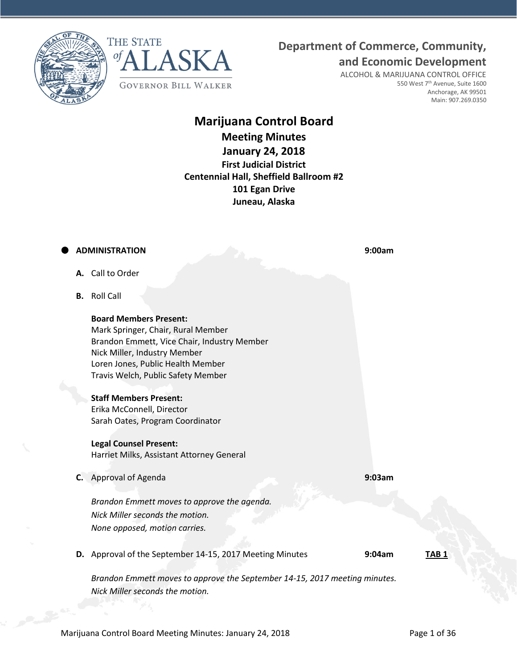



# **Department of Commerce, Community,**

**and Economic Development**

ALCOHOL & MARIJUANA CONTROL OFFICE 550 West 7<sup>th</sup> Avenue, Suite 1600 Anchorage, AK 99501 Main: 907.269.0350

# **Marijuana Control Board Meeting Minutes January 24, 2018 First Judicial District Centennial Hall, Sheffield Ballroom #2 101 Egan Drive Juneau, Alaska**

# **ADMINISTRATION 9:00am**

- **A.** Call to Order
- **B.** Roll Call

**Board Members Present:** Mark Springer, Chair, Rural Member Brandon Emmett, Vice Chair, Industry Member Nick Miller, Industry Member Loren Jones, Public Health Member Travis Welch, Public Safety Member

# **Staff Members Present:**

Erika McConnell, Director Sarah Oates, Program Coordinator

# **Legal Counsel Present:**

Harriet Milks, Assistant Attorney General

**C.** Approval of Agenda **9:03am**

*Brandon Emmett moves to approve the agenda. Nick Miller seconds the motion. None opposed, motion carries.*

**D.** Approval of the September 14-15, 2017 Meeting Minutes **9:04am TAB 1**

*Brandon Emmett moves to approve the September 14-15, 2017 meeting minutes. Nick Miller seconds the motion.*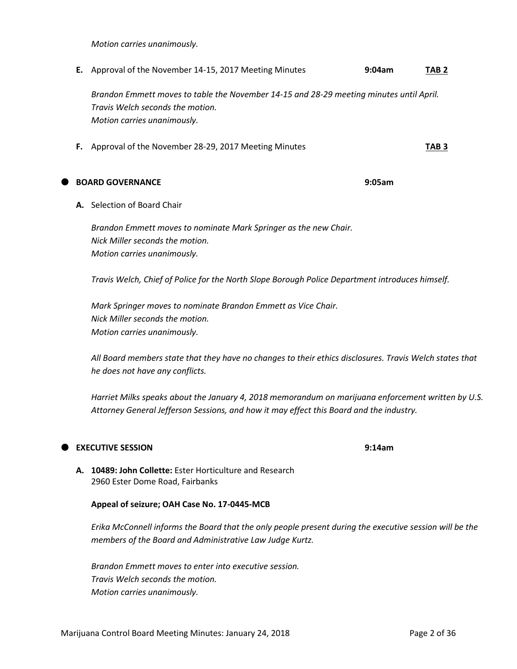*Motion carries unanimously.*

**E.** Approval of the November 14-15, 2017 Meeting Minutes **9:04am TAB 2**

*Brandon Emmett moves to table the November 14-15 and 28-29 meeting minutes until April. Travis Welch seconds the motion. Motion carries unanimously.*

**F.** Approval of the November 28-29, 2017 Meeting Minutes **TAB 3**

**BOARD GOVERNANCE 9:05am**

**A.** Selection of Board Chair

*Brandon Emmett moves to nominate Mark Springer as the new Chair. Nick Miller seconds the motion. Motion carries unanimously.*

*Travis Welch, Chief of Police for the North Slope Borough Police Department introduces himself.*

*Mark Springer moves to nominate Brandon Emmett as Vice Chair. Nick Miller seconds the motion. Motion carries unanimously.*

*All Board members state that they have no changes to their ethics disclosures. Travis Welch states that he does not have any conflicts.*

*Harriet Milks speaks about the January 4, 2018 memorandum on marijuana enforcement written by U.S. Attorney General Jefferson Sessions, and how it may effect this Board and the industry.*

# **EXECUTIVE SESSION 9:14am**

**A. 10489: John Collette:** Ester Horticulture and Research 2960 Ester Dome Road, Fairbanks

# **Appeal of seizure; OAH Case No. 17-0445-MCB**

*Erika McConnell informs the Board that the only people present during the executive session will be the members of the Board and Administrative Law Judge Kurtz.*

*Brandon Emmett moves to enter into executive session. Travis Welch seconds the motion. Motion carries unanimously.*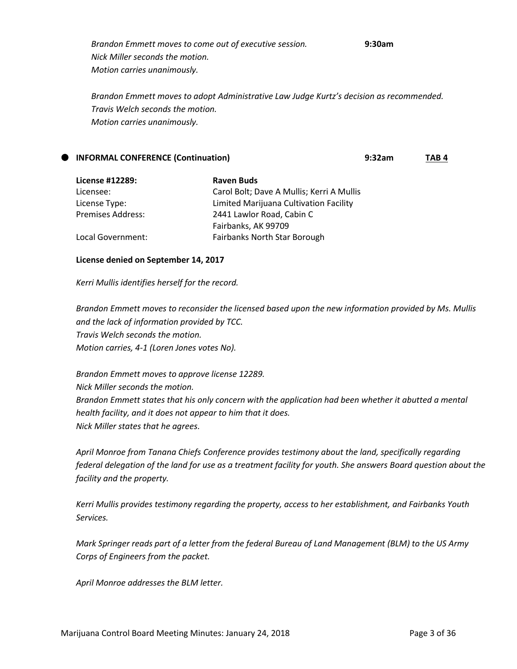*Brandon Emmett moves to come out of executive session.* **9:30am** *Nick Miller seconds the motion. Motion carries unanimously.*

*Brandon Emmett moves to adopt Administrative Law Judge Kurtz's decision as recommended. Travis Welch seconds the motion. Motion carries unanimously.*

| TAB 4 |
|-------|
|       |

| License #12289:          | <b>Raven Buds</b>                         |
|--------------------------|-------------------------------------------|
| Licensee:                | Carol Bolt; Dave A Mullis; Kerri A Mullis |
| License Type:            | Limited Marijuana Cultivation Facility    |
| <b>Premises Address:</b> | 2441 Lawlor Road, Cabin C                 |
|                          | Fairbanks, AK 99709                       |
| Local Government:        | Fairbanks North Star Borough              |

# **License denied on September 14, 2017**

*Kerri Mullis identifies herself for the record.*

*Brandon Emmett moves to reconsider the licensed based upon the new information provided by Ms. Mullis and the lack of information provided by TCC. Travis Welch seconds the motion. Motion carries, 4-1 (Loren Jones votes No).*

*Brandon Emmett moves to approve license 12289. Nick Miller seconds the motion. Brandon Emmett states that his only concern with the application had been whether it abutted a mental health facility, and it does not appear to him that it does. Nick Miller states that he agrees.*

*April Monroe from Tanana Chiefs Conference provides testimony about the land, specifically regarding federal delegation of the land for use as a treatment facility for youth. She answers Board question about the facility and the property.*

*Kerri Mullis provides testimony regarding the property, access to her establishment, and Fairbanks Youth Services.*

*Mark Springer reads part of a letter from the federal Bureau of Land Management (BLM) to the US Army Corps of Engineers from the packet.*

*April Monroe addresses the BLM letter.*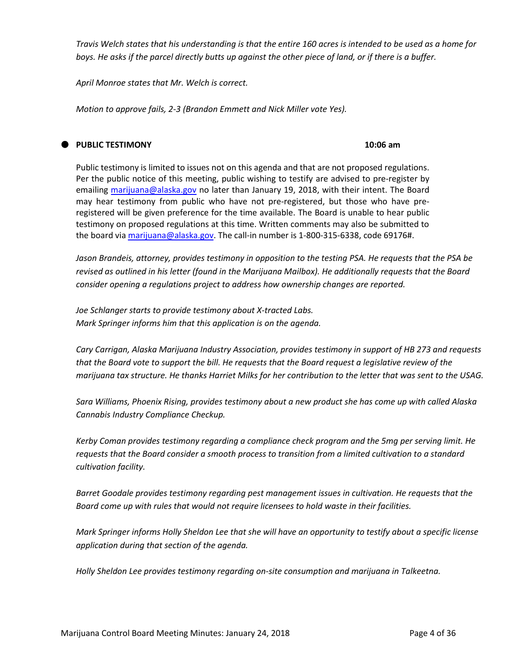*Travis Welch states that his understanding is that the entire 160 acres is intended to be used as a home for boys. He asks if the parcel directly butts up against the other piece of land, or if there is a buffer.*

*April Monroe states that Mr. Welch is correct.*

*Motion to approve fails, 2-3 (Brandon Emmett and Nick Miller vote Yes).*

#### **PUBLIC TESTIMONY 10:06 am**

Public testimony is limited to issues not on this agenda and that are not proposed regulations. Per the public notice of this meeting, public wishing to testify are advised to pre-register by emailing [marijuana@alaska.gov](mailto:marijuana@alaska.gov) no later than January 19, 2018, with their intent. The Board may hear testimony from public who have not pre-registered, but those who have preregistered will be given preference for the time available. The Board is unable to hear public testimony on proposed regulations at this time. Written comments may also be submitted to the board vi[a marijuana@alaska.gov.](mailto:marijuana@alaska.gov) The call-in number is 1-800-315-6338, code 69176#.

*Jason Brandeis, attorney, provides testimony in opposition to the testing PSA. He requests that the PSA be revised as outlined in his letter (found in the Marijuana Mailbox). He additionally requests that the Board consider opening a regulations project to address how ownership changes are reported.*

*Joe Schlanger starts to provide testimony about X-tracted Labs. Mark Springer informs him that this application is on the agenda.*

*Cary Carrigan, Alaska Marijuana Industry Association, provides testimony in support of HB 273 and requests that the Board vote to support the bill. He requests that the Board request a legislative review of the marijuana tax structure. He thanks Harriet Milks for her contribution to the letter that was sent to the USAG.*

*Sara Williams, Phoenix Rising, provides testimony about a new product she has come up with called Alaska Cannabis Industry Compliance Checkup.* 

*Kerby Coman provides testimony regarding a compliance check program and the 5mg per serving limit. He requests that the Board consider a smooth process to transition from a limited cultivation to a standard cultivation facility.*

*Barret Goodale provides testimony regarding pest management issues in cultivation. He requests that the Board come up with rules that would not require licensees to hold waste in their facilities.*

*Mark Springer informs Holly Sheldon Lee that she will have an opportunity to testify about a specific license application during that section of the agenda.*

*Holly Sheldon Lee provides testimony regarding on-site consumption and marijuana in Talkeetna.*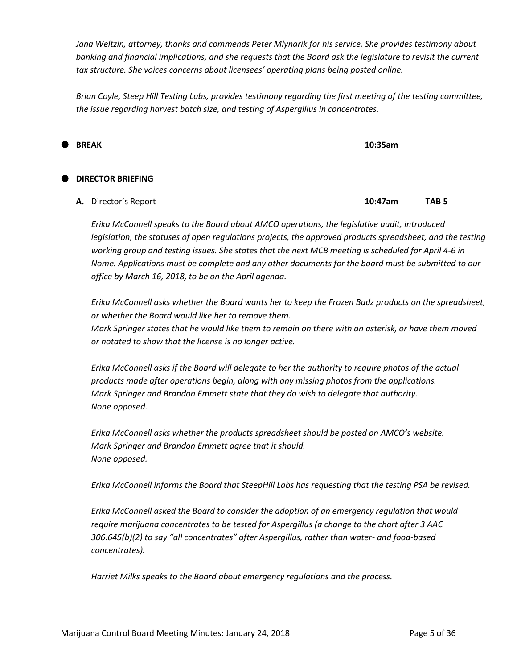*Jana Weltzin, attorney, thanks and commends Peter Mlynarik for his service. She provides testimony about banking and financial implications, and she requests that the Board ask the legislature to revisit the current tax structure. She voices concerns about licensees' operating plans being posted online.*

*Brian Coyle, Steep Hill Testing Labs, provides testimony regarding the first meeting of the testing committee, the issue regarding harvest batch size, and testing of Aspergillus in concentrates.*

**BREAK 10:35am**

# **DIRECTOR BRIEFING**

**A.** Director's Report **10:47am TAB 5**

*Erika McConnell speaks to the Board about AMCO operations, the legislative audit, introduced legislation, the statuses of open regulations projects, the approved products spreadsheet, and the testing working group and testing issues. She states that the next MCB meeting is scheduled for April 4-6 in Nome. Applications must be complete and any other documents for the board must be submitted to our office by March 16, 2018, to be on the April agenda.*

*Erika McConnell asks whether the Board wants her to keep the Frozen Budz products on the spreadsheet, or whether the Board would like her to remove them. Mark Springer states that he would like them to remain on there with an asterisk, or have them moved or notated to show that the license is no longer active.*

*Erika McConnell asks if the Board will delegate to her the authority to require photos of the actual products made after operations begin, along with any missing photos from the applications. Mark Springer and Brandon Emmett state that they do wish to delegate that authority. None opposed.*

*Erika McConnell asks whether the products spreadsheet should be posted on AMCO's website. Mark Springer and Brandon Emmett agree that it should. None opposed.*

*Erika McConnell informs the Board that SteepHill Labs has requesting that the testing PSA be revised.*

*Erika McConnell asked the Board to consider the adoption of an emergency regulation that would require marijuana concentrates to be tested for Aspergillus (a change to the chart after 3 AAC 306.645(b)(2) to say "all concentrates" after Aspergillus, rather than water- and food-based concentrates).*

*Harriet Milks speaks to the Board about emergency regulations and the process.*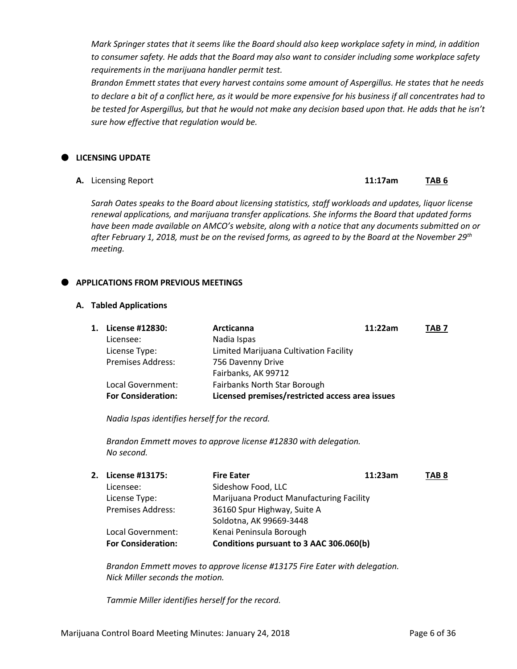*Mark Springer states that it seems like the Board should also keep workplace safety in mind, in addition to consumer safety. He adds that the Board may also want to consider including some workplace safety requirements in the marijuana handler permit test.*

*Brandon Emmett states that every harvest contains some amount of Aspergillus. He states that he needs to declare a bit of a conflict here, as it would be more expensive for his business if all concentrates had to be tested for Aspergillus, but that he would not make any decision based upon that. He adds that he isn't sure how effective that regulation would be.*

# **LICENSING UPDATE**

**A.** Licensing Report **11:17am TAB 6**

*Sarah Oates speaks to the Board about licensing statistics, staff workloads and updates, liquor license renewal applications, and marijuana transfer applications. She informs the Board that updated forms have been made available on AMCO's website, along with a notice that any documents submitted on or after February 1, 2018, must be on the revised forms, as agreed to by the Board at the November 29th meeting.*

# **APPLICATIONS FROM PREVIOUS MEETINGS**

#### **A. Tabled Applications**

| 1. License #12830:        | <b>Arcticanna</b>                               | 11:22am | TAB <sub>7</sub> |
|---------------------------|-------------------------------------------------|---------|------------------|
| Licensee:                 | Nadia Ispas                                     |         |                  |
| License Type:             | Limited Marijuana Cultivation Facility          |         |                  |
| Premises Address:         | 756 Davenny Drive                               |         |                  |
|                           | Fairbanks, AK 99712                             |         |                  |
| Local Government:         | Fairbanks North Star Borough                    |         |                  |
| <b>For Consideration:</b> | Licensed premises/restricted access area issues |         |                  |

*Nadia Ispas identifies herself for the record.*

*Brandon Emmett moves to approve license #12830 with delegation. No second.*

| 2. License #13175:        | <b>Fire Eater</b>                        | 11:23am | TAB <sub>8</sub> |
|---------------------------|------------------------------------------|---------|------------------|
| Licensee:                 | Sideshow Food, LLC                       |         |                  |
| License Type:             | Marijuana Product Manufacturing Facility |         |                  |
| <b>Premises Address:</b>  | 36160 Spur Highway, Suite A              |         |                  |
|                           | Soldotna, AK 99669-3448                  |         |                  |
| Local Government:         | Kenai Peninsula Borough                  |         |                  |
| <b>For Consideration:</b> | Conditions pursuant to 3 AAC 306.060(b)  |         |                  |
|                           |                                          |         |                  |

*Brandon Emmett moves to approve license #13175 Fire Eater with delegation. Nick Miller seconds the motion.*

*Tammie Miller identifies herself for the record.*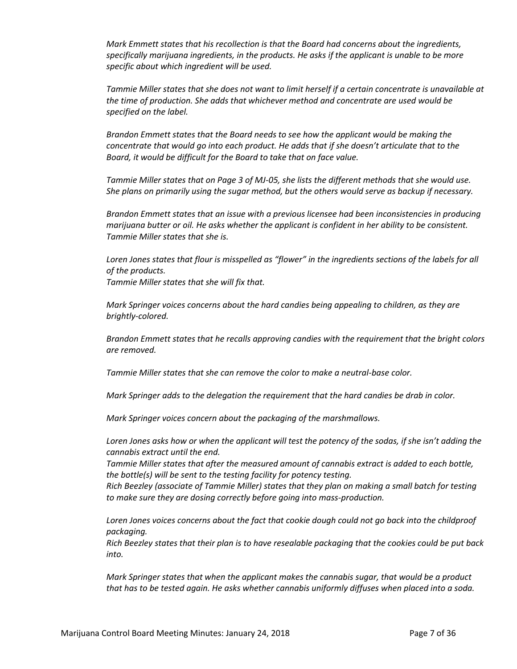*Mark Emmett states that his recollection is that the Board had concerns about the ingredients, specifically marijuana ingredients, in the products. He asks if the applicant is unable to be more specific about which ingredient will be used.*

*Tammie Miller states that she does not want to limit herself if a certain concentrate is unavailable at the time of production. She adds that whichever method and concentrate are used would be specified on the label.*

*Brandon Emmett states that the Board needs to see how the applicant would be making the concentrate that would go into each product. He adds that if she doesn't articulate that to the Board, it would be difficult for the Board to take that on face value.*

*Tammie Miller states that on Page 3 of MJ-05, she lists the different methods that she would use. She plans on primarily using the sugar method, but the others would serve as backup if necessary.*

*Brandon Emmett states that an issue with a previous licensee had been inconsistencies in producing marijuana butter or oil. He asks whether the applicant is confident in her ability to be consistent. Tammie Miller states that she is.*

*Loren Jones states that flour is misspelled as "flower" in the ingredients sections of the labels for all of the products.*

*Tammie Miller states that she will fix that.*

*Mark Springer voices concerns about the hard candies being appealing to children, as they are brightly-colored.*

*Brandon Emmett states that he recalls approving candies with the requirement that the bright colors are removed.*

*Tammie Miller states that she can remove the color to make a neutral-base color.*

*Mark Springer adds to the delegation the requirement that the hard candies be drab in color.*

*Mark Springer voices concern about the packaging of the marshmallows.*

*Loren Jones asks how or when the applicant will test the potency of the sodas, if she isn't adding the cannabis extract until the end.*

*Tammie Miller states that after the measured amount of cannabis extract is added to each bottle, the bottle(s) will be sent to the testing facility for potency testing.*

*Rich Beezley (associate of Tammie Miller) states that they plan on making a small batch for testing to make sure they are dosing correctly before going into mass-production.*

Loren Jones voices concerns about the fact that cookie dough could not go back into the childproof *packaging.*

*Rich Beezley states that their plan is to have resealable packaging that the cookies could be put back into.* 

*Mark Springer states that when the applicant makes the cannabis sugar, that would be a product that has to be tested again. He asks whether cannabis uniformly diffuses when placed into a soda.*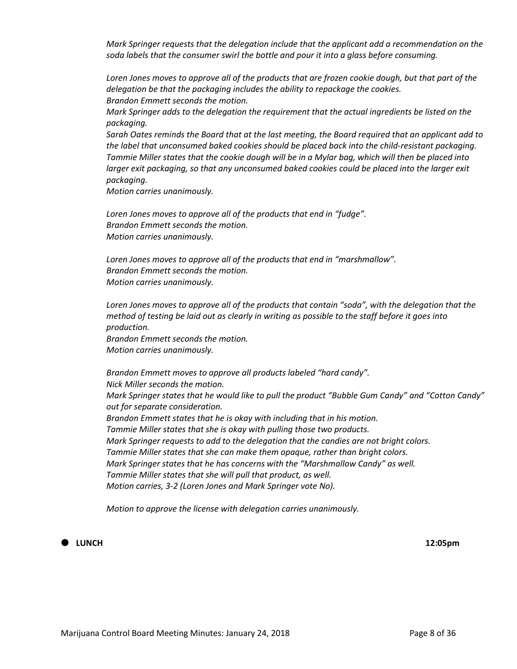*Mark Springer requests that the delegation include that the applicant add a recommendation on the soda labels that the consumer swirl the bottle and pour it into a glass before consuming.*

*Loren Jones moves to approve all of the products that are frozen cookie dough, but that part of the delegation be that the packaging includes the ability to repackage the cookies. Brandon Emmett seconds the motion.*

*Mark Springer adds to the delegation the requirement that the actual ingredients be listed on the packaging.*

*Sarah Oates reminds the Board that at the last meeting, the Board required that an applicant add to the label that unconsumed baked cookies should be placed back into the child-resistant packaging. Tammie Miller states that the cookie dough will be in a Mylar bag, which will then be placed into larger exit packaging, so that any unconsumed baked cookies could be placed into the larger exit packaging.*

*Motion carries unanimously.*

*Loren Jones moves to approve all of the products that end in "fudge". Brandon Emmett seconds the motion. Motion carries unanimously.*

*Loren Jones moves to approve all of the products that end in "marshmallow". Brandon Emmett seconds the motion. Motion carries unanimously.*

Loren Jones moves to approve all of the products that contain "soda", with the delegation that the *method of testing be laid out as clearly in writing as possible to the staff before it goes into production.*

*Brandon Emmett seconds the motion. Motion carries unanimously.*

*Brandon Emmett moves to approve all products labeled "hard candy". Nick Miller seconds the motion. Mark Springer states that he would like to pull the product "Bubble Gum Candy" and "Cotton Candy" out for separate consideration. Brandon Emmett states that he is okay with including that in his motion. Tammie Miller states that she is okay with pulling those two products. Mark Springer requests to add to the delegation that the candies are not bright colors. Tammie Miller states that she can make them opaque, rather than bright colors. Mark Springer states that he has concerns with the "Marshmallow Candy" as well. Tammie Miller states that she will pull that product, as well. Motion carries, 3-2 (Loren Jones and Mark Springer vote No).*

*Motion to approve the license with delegation carries unanimously.*

# **LUNCH 12:05pm**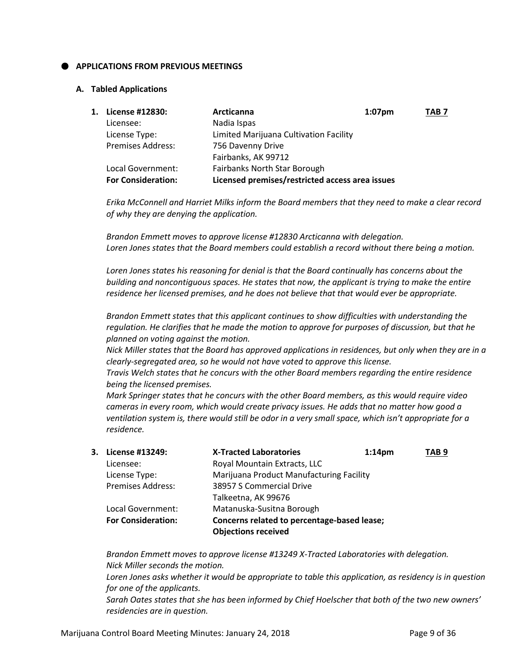# **APPLICATIONS FROM PREVIOUS MEETINGS**

#### **A. Tabled Applications**

| 1. | License #12830:           | Arcticanna                                      | $1:07$ pm | TAB <sub>7</sub> |
|----|---------------------------|-------------------------------------------------|-----------|------------------|
|    | Licensee:                 | Nadia Ispas                                     |           |                  |
|    | License Type:             | Limited Marijuana Cultivation Facility          |           |                  |
|    | <b>Premises Address:</b>  | 756 Davenny Drive                               |           |                  |
|    |                           | Fairbanks, AK 99712                             |           |                  |
|    | Local Government:         | Fairbanks North Star Borough                    |           |                  |
|    | <b>For Consideration:</b> | Licensed premises/restricted access area issues |           |                  |

*Erika McConnell and Harriet Milks inform the Board members that they need to make a clear record of why they are denying the application.*

*Brandon Emmett moves to approve license #12830 Arcticanna with delegation. Loren Jones states that the Board members could establish a record without there being a motion.* 

*Loren Jones states his reasoning for denial is that the Board continually has concerns about the building and noncontiguous spaces. He states that now, the applicant is trying to make the entire residence her licensed premises, and he does not believe that that would ever be appropriate.*

*Brandon Emmett states that this applicant continues to show difficulties with understanding the regulation. He clarifies that he made the motion to approve for purposes of discussion, but that he planned on voting against the motion.*

*Nick Miller states that the Board has approved applications in residences, but only when they are in a clearly-segregated area, so he would not have voted to approve this license.*

*Travis Welch states that he concurs with the other Board members regarding the entire residence being the licensed premises.*

*Mark Springer states that he concurs with the other Board members, as this would require video cameras in every room, which would create privacy issues. He adds that no matter how good a ventilation system is, there would still be odor in a very small space, which isn't appropriate for a residence.*

| 3. License #13249:        | <b>X-Tracted Laboratories</b>               | 1:14 <sub>pm</sub> | TAB <sub>9</sub> |
|---------------------------|---------------------------------------------|--------------------|------------------|
| Licensee:                 | Royal Mountain Extracts, LLC                |                    |                  |
| License Type:             | Marijuana Product Manufacturing Facility    |                    |                  |
| <b>Premises Address:</b>  | 38957 S Commercial Drive                    |                    |                  |
|                           | Talkeetna, AK 99676                         |                    |                  |
| Local Government:         | Matanuska-Susitna Borough                   |                    |                  |
| <b>For Consideration:</b> | Concerns related to percentage-based lease; |                    |                  |
|                           | <b>Objections received</b>                  |                    |                  |

*Brandon Emmett moves to approve license #13249 X-Tracted Laboratories with delegation. Nick Miller seconds the motion. Loren Jones asks whether it would be appropriate to table this application, as residency is in question for one of the applicants. Sarah Oates states that she has been informed by Chief Hoelscher that both of the two new owners' residencies are in question.*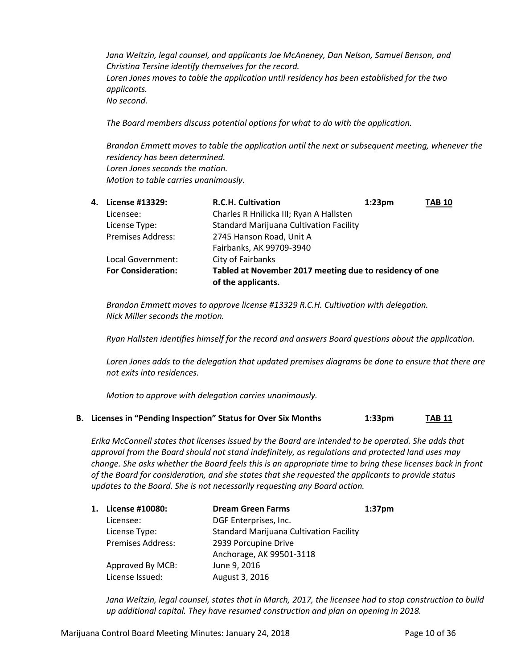*Jana Weltzin, legal counsel, and applicants Joe McAneney, Dan Nelson, Samuel Benson, and Christina Tersine identify themselves for the record. Loren Jones moves to table the application until residency has been established for the two applicants. No second.*

*The Board members discuss potential options for what to do with the application.*

*Brandon Emmett moves to table the application until the next or subsequent meeting, whenever the residency has been determined. Loren Jones seconds the motion. Motion to table carries unanimously.*

| 4. | License #13329:           | <b>R.C.H. Cultivation</b>                               | 1:23 <sub>pm</sub> | <b>TAB 10</b> |
|----|---------------------------|---------------------------------------------------------|--------------------|---------------|
|    | Licensee:                 | Charles R Hnilicka III; Ryan A Hallsten                 |                    |               |
|    | License Type:             | <b>Standard Marijuana Cultivation Facility</b>          |                    |               |
|    | <b>Premises Address:</b>  | 2745 Hanson Road, Unit A                                |                    |               |
|    |                           | Fairbanks, AK 99709-3940                                |                    |               |
|    | Local Government:         | City of Fairbanks                                       |                    |               |
|    | <b>For Consideration:</b> | Tabled at November 2017 meeting due to residency of one |                    |               |
|    |                           | of the applicants.                                      |                    |               |

*Brandon Emmett moves to approve license #13329 R.C.H. Cultivation with delegation. Nick Miller seconds the motion.*

*Ryan Hallsten identifies himself for the record and answers Board questions about the application.*

*Loren Jones adds to the delegation that updated premises diagrams be done to ensure that there are not exits into residences.*

*Motion to approve with delegation carries unanimously.*

**B. Licenses in "Pending Inspection" Status for Over Six Months 1:33pm TAB 11**

*Erika McConnell states that licenses issued by the Board are intended to be operated. She adds that approval from the Board should not stand indefinitely, as regulations and protected land uses may change. She asks whether the Board feels this is an appropriate time to bring these licenses back in front of the Board for consideration, and she states that she requested the applicants to provide status updates to the Board. She is not necessarily requesting any Board action.*

| 1. | License #10080:          | <b>Dream Green Farms</b>                       | 1:37 <sub>pm</sub> |
|----|--------------------------|------------------------------------------------|--------------------|
|    | Licensee:                | DGF Enterprises, Inc.                          |                    |
|    | License Type:            | <b>Standard Marijuana Cultivation Facility</b> |                    |
|    | <b>Premises Address:</b> | 2939 Porcupine Drive                           |                    |
|    |                          | Anchorage, AK 99501-3118                       |                    |
|    | Approved By MCB:         | June 9, 2016                                   |                    |
|    | License Issued:          | August 3, 2016                                 |                    |

*Jana Weltzin, legal counsel, states that in March, 2017, the licensee had to stop construction to build up additional capital. They have resumed construction and plan on opening in 2018.*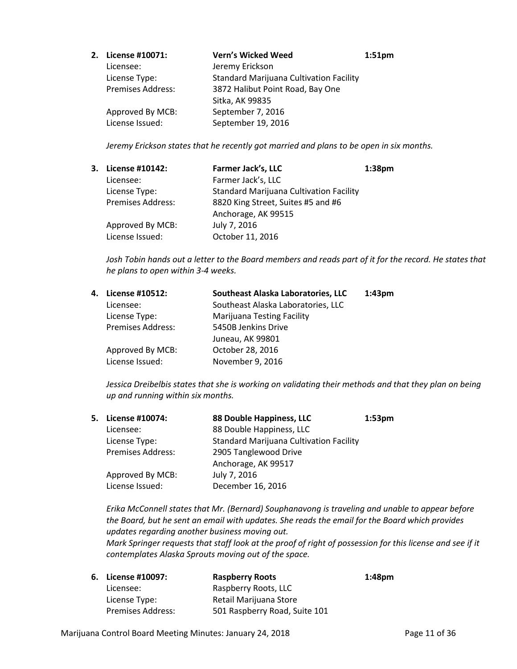| 2. License #10071:       | <b>Vern's Wicked Weed</b>                      | 1:51 <sub>pm</sub> |
|--------------------------|------------------------------------------------|--------------------|
| Licensee:                | Jeremy Erickson                                |                    |
| License Type:            | <b>Standard Marijuana Cultivation Facility</b> |                    |
| <b>Premises Address:</b> | 3872 Halibut Point Road, Bay One               |                    |
|                          | Sitka, AK 99835                                |                    |
| Approved By MCB:         | September 7, 2016                              |                    |
| License Issued:          | September 19, 2016                             |                    |

*Jeremy Erickson states that he recently got married and plans to be open in six months.*

| 3. License #10142:       | Farmer Jack's, LLC                             | 1:38 <sub>pm</sub> |
|--------------------------|------------------------------------------------|--------------------|
| Licensee:                | Farmer Jack's, LLC                             |                    |
| License Type:            | <b>Standard Marijuana Cultivation Facility</b> |                    |
| <b>Premises Address:</b> | 8820 King Street, Suites #5 and #6             |                    |
|                          | Anchorage, AK 99515                            |                    |
| Approved By MCB:         | July 7, 2016                                   |                    |
| License Issued:          | October 11, 2016                               |                    |

*Josh Tobin hands out a letter to the Board members and reads part of it for the record. He states that he plans to open within 3-4 weeks.*

| 4. License #10512:       | Southeast Alaska Laboratories, LLC | 1:43 <sub>pm</sub> |
|--------------------------|------------------------------------|--------------------|
| Licensee:                | Southeast Alaska Laboratories, LLC |                    |
| License Type:            | <b>Marijuana Testing Facility</b>  |                    |
| <b>Premises Address:</b> | 5450B Jenkins Drive                |                    |
|                          | Juneau, AK 99801                   |                    |
| Approved By MCB:         | October 28, 2016                   |                    |
| License Issued:          | November 9, 2016                   |                    |
|                          |                                    |                    |

*Jessica Dreibelbis states that she is working on validating their methods and that they plan on being up and running within six months.*

| 5. License #10074:       | 88 Double Happiness, LLC                       | 1:53 <sub>pm</sub> |
|--------------------------|------------------------------------------------|--------------------|
| Licensee:                | 88 Double Happiness, LLC                       |                    |
| License Type:            | <b>Standard Marijuana Cultivation Facility</b> |                    |
| <b>Premises Address:</b> | 2905 Tanglewood Drive                          |                    |
|                          | Anchorage, AK 99517                            |                    |
| Approved By MCB:         | July 7, 2016                                   |                    |
| License Issued:          | December 16, 2016                              |                    |
|                          |                                                |                    |

*Erika McConnell states that Mr. (Bernard) Souphanavong is traveling and unable to appear before the Board, but he sent an email with updates. She reads the email for the Board which provides updates regarding another business moving out. Mark Springer requests that staff look at the proof of right of possession for this license and see if it contemplates Alaska Sprouts moving out of the space.*

| 6. License #10097:       | <b>Raspberry Roots</b>        | 1:48pm |
|--------------------------|-------------------------------|--------|
| Licensee:                | Raspberry Roots, LLC          |        |
| License Type:            | Retail Marijuana Store        |        |
| <b>Premises Address:</b> | 501 Raspberry Road, Suite 101 |        |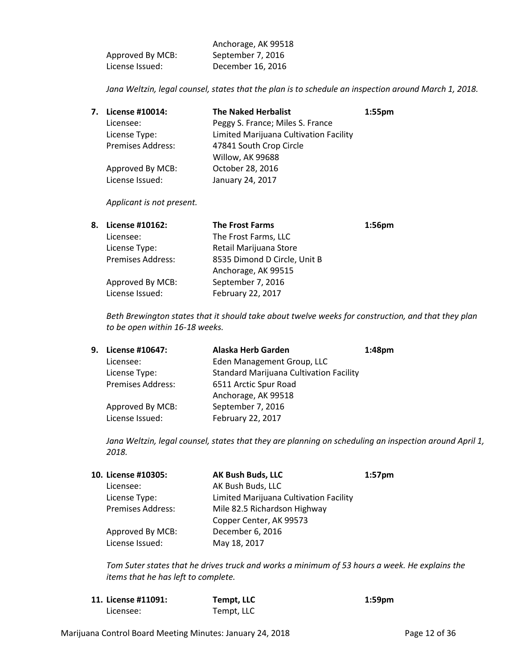| Licensee:                                                 | Tempt, LLC |               |
|-----------------------------------------------------------|------------|---------------|
| Marijuana Control Board Meeting Minutes: January 24, 2018 |            | Page 12 of 36 |

|                  | Anchorage, AK 99518 |
|------------------|---------------------|
| Approved By MCB: | September 7, 2016   |
| License Issued:  | December 16, 2016   |

*Jana Weltzin, legal counsel, states that the plan is to schedule an inspection around March 1, 2018.*

| 7. License #10014:       | <b>The Naked Herbalist</b>             | $1:55$ pm |
|--------------------------|----------------------------------------|-----------|
| Licensee:                | Peggy S. France; Miles S. France       |           |
| License Type:            | Limited Marijuana Cultivation Facility |           |
| <b>Premises Address:</b> | 47841 South Crop Circle                |           |
|                          | Willow, AK 99688                       |           |
| Approved By MCB:         | October 28, 2016                       |           |
| License Issued:          | January 24, 2017                       |           |

*Applicant is not present.*

| 8. | License #10162:          | <b>The Frost Farms</b>       | 1:56 <sub>pm</sub> |
|----|--------------------------|------------------------------|--------------------|
|    | Licensee:                | The Frost Farms, LLC         |                    |
|    | License Type:            | Retail Marijuana Store       |                    |
|    | <b>Premises Address:</b> | 8535 Dimond D Circle, Unit B |                    |
|    |                          | Anchorage, AK 99515          |                    |
|    | Approved By MCB:         | September 7, 2016            |                    |
|    | License Issued:          | February 22, 2017            |                    |

*Beth Brewington states that it should take about twelve weeks for construction, and that they plan to be open within 16-18 weeks.*

|                          | Alaska Herb Garden                             | 1:48 <sub>pm</sub> |
|--------------------------|------------------------------------------------|--------------------|
| Licensee:                | Eden Management Group, LLC                     |                    |
| License Type:            | <b>Standard Marijuana Cultivation Facility</b> |                    |
| <b>Premises Address:</b> | 6511 Arctic Spur Road                          |                    |
|                          | Anchorage, AK 99518                            |                    |
| Approved By MCB:         | September 7, 2016                              |                    |
| License Issued:          | February 22, 2017                              |                    |
|                          | 9. License #10647:                             |                    |

*Jana Weltzin, legal counsel, states that they are planning on scheduling an inspection around April 1, 2018.*

| 10. License #10305: | <b>AK Bush Buds, LLC</b>               | 1:57 <sub>pm</sub> |
|---------------------|----------------------------------------|--------------------|
| Licensee:           | AK Bush Buds, LLC                      |                    |
| License Type:       | Limited Marijuana Cultivation Facility |                    |
| Premises Address:   | Mile 82.5 Richardson Highway           |                    |
|                     | Copper Center, AK 99573                |                    |
| Approved By MCB:    | December 6, 2016                       |                    |
| License Issued:     | May 18, 2017                           |                    |

**11. License #11091: Tempt, LLC 1:59pm**

*Tom Suter states that he drives truck and works a minimum of 53 hours a week. He explains the items that he has left to complete.*

| Page 12 of 3 |  |  |
|--------------|--|--|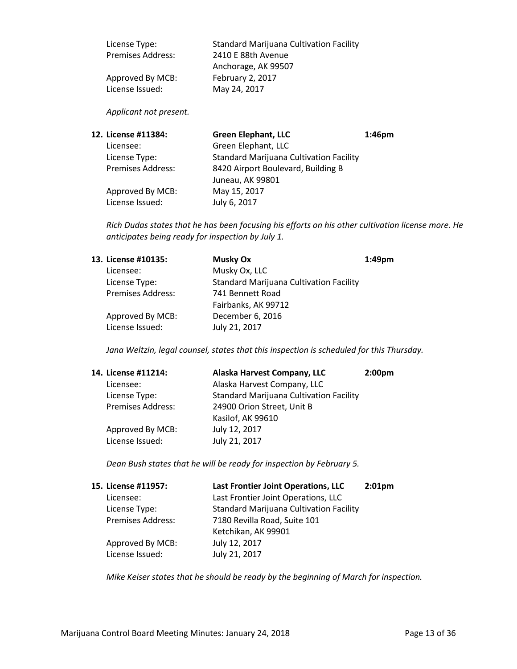| License Type:            | <b>Standard Marijuana Cultivation Facility</b> |
|--------------------------|------------------------------------------------|
| <b>Premises Address:</b> | 2410 E 88th Avenue                             |
|                          | Anchorage, AK 99507                            |
| Approved By MCB:         | February 2, 2017                               |
| License Issued:          | May 24, 2017                                   |

# *Applicant not present.*

| 12. License #11384:      | <b>Green Elephant, LLC</b>                     | 1:46 <sub>pm</sub> |
|--------------------------|------------------------------------------------|--------------------|
| Licensee:                | Green Elephant, LLC                            |                    |
| License Type:            | <b>Standard Marijuana Cultivation Facility</b> |                    |
| <b>Premises Address:</b> | 8420 Airport Boulevard, Building B             |                    |
|                          | Juneau, AK 99801                               |                    |
| Approved By MCB:         | May 15, 2017                                   |                    |
| License Issued:          | July 6, 2017                                   |                    |
|                          |                                                |                    |

*Rich Dudas states that he has been focusing his efforts on his other cultivation license more. He anticipates being ready for inspection by July 1.*

| 13. License #10135:      | <b>Musky Ox</b>                                | $1:49$ pm |
|--------------------------|------------------------------------------------|-----------|
| Licensee:                | Musky Ox, LLC                                  |           |
| License Type:            | <b>Standard Marijuana Cultivation Facility</b> |           |
| <b>Premises Address:</b> | 741 Bennett Road                               |           |
|                          | Fairbanks, AK 99712                            |           |
| Approved By MCB:         | December 6, 2016                               |           |
| License Issued:          | July 21, 2017                                  |           |
|                          |                                                |           |

*Jana Weltzin, legal counsel, states that this inspection is scheduled for this Thursday.*

| 14. License #11214:      | Alaska Harvest Company, LLC                    | 2:00 <sub>pm</sub> |
|--------------------------|------------------------------------------------|--------------------|
| Licensee:                | Alaska Harvest Company, LLC                    |                    |
| License Type:            | <b>Standard Marijuana Cultivation Facility</b> |                    |
| <b>Premises Address:</b> | 24900 Orion Street, Unit B                     |                    |
|                          | Kasilof, AK 99610                              |                    |
| Approved By MCB:         | July 12, 2017                                  |                    |
| License Issued:          | July 21, 2017                                  |                    |

*Dean Bush states that he will be ready for inspection by February 5.*

| 15. License #11957:      | Last Frontier Joint Operations, LLC            | 2:01 <sub>pm</sub> |
|--------------------------|------------------------------------------------|--------------------|
| Licensee:                | Last Frontier Joint Operations, LLC            |                    |
| License Type:            | <b>Standard Marijuana Cultivation Facility</b> |                    |
| <b>Premises Address:</b> | 7180 Revilla Road, Suite 101                   |                    |
|                          | Ketchikan, AK 99901                            |                    |
| Approved By MCB:         | July 12, 2017                                  |                    |
| License Issued:          | July 21, 2017                                  |                    |

*Mike Keiser states that he should be ready by the beginning of March for inspection.*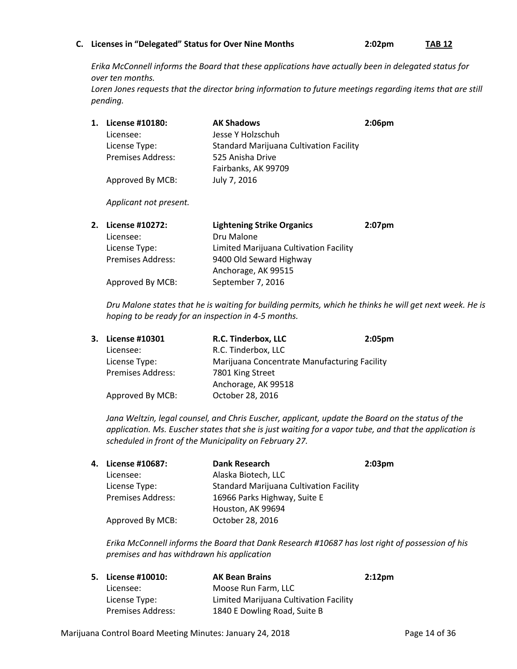#### **C. Licenses in "Delegated" Status for Over Nine Months 2:02pm TAB 12**

*Erika McConnell informs the Board that these applications have actually been in delegated status for over ten months.*

*Loren Jones requests that the director bring information to future meetings regarding items that are still pending.*

| 1. License #10180:       | <b>AK Shadows</b>                              | 2:06 <sub>pm</sub> |
|--------------------------|------------------------------------------------|--------------------|
| Licensee:                | Jesse Y Holzschuh                              |                    |
| License Type:            | <b>Standard Marijuana Cultivation Facility</b> |                    |
| <b>Premises Address:</b> | 525 Anisha Drive                               |                    |
|                          | Fairbanks, AK 99709                            |                    |
| Approved By MCB:         | July 7, 2016                                   |                    |

*Applicant not present.*

| 2. License #10272:       | <b>Lightening Strike Organics</b>      | $2:07$ pm |
|--------------------------|----------------------------------------|-----------|
| Licensee:                | Dru Malone                             |           |
| License Type:            | Limited Marijuana Cultivation Facility |           |
| <b>Premises Address:</b> | 9400 Old Seward Highway                |           |
|                          | Anchorage, AK 99515                    |           |
| Approved By MCB:         | September 7, 2016                      |           |
|                          |                                        |           |

*Dru Malone states that he is waiting for building permits, which he thinks he will get next week. He is hoping to be ready for an inspection in 4-5 months.*

| 3. License #10301        | R.C. Tinderbox, LLC                          | 2:05 <sub>pm</sub> |
|--------------------------|----------------------------------------------|--------------------|
| Licensee:                | R.C. Tinderbox, LLC                          |                    |
| License Type:            | Marijuana Concentrate Manufacturing Facility |                    |
| <b>Premises Address:</b> | 7801 King Street                             |                    |
|                          | Anchorage, AK 99518                          |                    |
| Approved By MCB:         | October 28, 2016                             |                    |
|                          |                                              |                    |

*Jana Weltzin, legal counsel, and Chris Euscher, applicant, update the Board on the status of the application. Ms. Euscher states that she is just waiting for a vapor tube, and that the application is scheduled in front of the Municipality on February 27.*

| 4. License #10687:       | <b>Dank Research</b>                           | 2:03 <sub>pm</sub> |
|--------------------------|------------------------------------------------|--------------------|
| Licensee:                | Alaska Biotech, LLC                            |                    |
| License Type:            | <b>Standard Marijuana Cultivation Facility</b> |                    |
| <b>Premises Address:</b> | 16966 Parks Highway, Suite E                   |                    |
|                          | Houston, AK 99694                              |                    |
| Approved By MCB:         | October 28, 2016                               |                    |

*Erika McConnell informs the Board that Dank Research #10687 has lost right of possession of his premises and has withdrawn his application*

| 5. License #10010:       | <b>AK Bean Brains</b>                  | $2:12 \text{pm}$ |
|--------------------------|----------------------------------------|------------------|
| Licensee:                | Moose Run Farm. LLC                    |                  |
| License Type:            | Limited Marijuana Cultivation Facility |                  |
| <b>Premises Address:</b> | 1840 E Dowling Road, Suite B           |                  |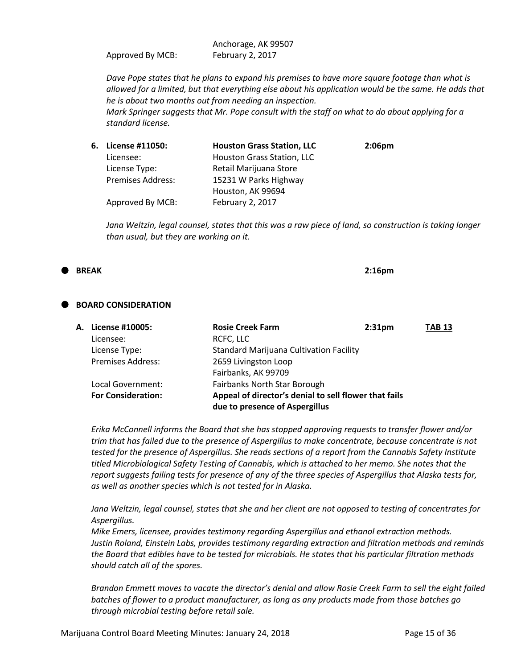Anchorage, AK 99507 Approved By MCB: February 2, 2017

*Dave Pope states that he plans to expand his premises to have more square footage than what is allowed for a limited, but that everything else about his application would be the same. He adds that he is about two months out from needing an inspection.*

*Mark Springer suggests that Mr. Pope consult with the staff on what to do about applying for a standard license.*

| 6. | License #11050:          | <b>Houston Grass Station, LLC</b> | 2:06 <sub>pm</sub> |
|----|--------------------------|-----------------------------------|--------------------|
|    | Licensee:                | Houston Grass Station, LLC        |                    |
|    | License Type:            | Retail Marijuana Store            |                    |
|    | <b>Premises Address:</b> | 15231 W Parks Highway             |                    |
|    |                          | Houston, AK 99694                 |                    |
|    | Approved By MCB:         | February 2, 2017                  |                    |

*Jana Weltzin, legal counsel, states that this was a raw piece of land, so construction is taking longer than usual, but they are working on it.*

#### **BREAK 2:16pm**

#### **BOARD CONSIDERATION**

| A. License #10005:        | <b>Rosie Creek Farm</b>                               | 2:31 <sub>pm</sub> | <b>TAB 13</b> |
|---------------------------|-------------------------------------------------------|--------------------|---------------|
| Licensee:                 | RCFC, LLC                                             |                    |               |
| License Type:             | <b>Standard Marijuana Cultivation Facility</b>        |                    |               |
| <b>Premises Address:</b>  | 2659 Livingston Loop                                  |                    |               |
|                           | Fairbanks, AK 99709                                   |                    |               |
| Local Government:         | Fairbanks North Star Borough                          |                    |               |
| <b>For Consideration:</b> | Appeal of director's denial to sell flower that fails |                    |               |
|                           | due to presence of Aspergillus                        |                    |               |

*Erika McConnell informs the Board that she has stopped approving requests to transfer flower and/or trim that has failed due to the presence of Aspergillus to make concentrate, because concentrate is not tested for the presence of Aspergillus. She reads sections of a report from the Cannabis Safety Institute titled Microbiological Safety Testing of Cannabis, which is attached to her memo. She notes that the report suggests failing tests for presence of any of the three species of Aspergillus that Alaska tests for, as well as another species which is not tested for in Alaska.*

*Jana Weltzin, legal counsel, states that she and her client are not opposed to testing of concentrates for Aspergillus.*

*Mike Emers, licensee, provides testimony regarding Aspergillus and ethanol extraction methods. Justin Roland, Einstein Labs, provides testimony regarding extraction and filtration methods and reminds the Board that edibles have to be tested for microbials. He states that his particular filtration methods should catch all of the spores.*

*Brandon Emmett moves to vacate the director's denial and allow Rosie Creek Farm to sell the eight failed batches of flower to a product manufacturer, as long as any products made from those batches go through microbial testing before retail sale.*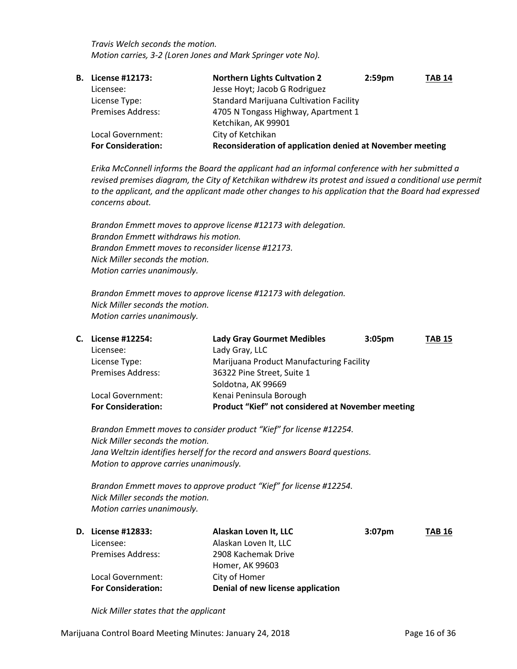*Travis Welch seconds the motion. Motion carries, 3-2 (Loren Jones and Mark Springer vote No).*

| В. | License #12173:           | <b>Northern Lights Cultvation 2</b>                       | 2:59 <sub>pm</sub> | <b>TAB 14</b> |
|----|---------------------------|-----------------------------------------------------------|--------------------|---------------|
|    | Licensee:                 | Jesse Hoyt; Jacob G Rodriguez                             |                    |               |
|    | License Type:             | <b>Standard Marijuana Cultivation Facility</b>            |                    |               |
|    | <b>Premises Address:</b>  | 4705 N Tongass Highway, Apartment 1                       |                    |               |
|    |                           | Ketchikan, AK 99901                                       |                    |               |
|    | Local Government:         | City of Ketchikan                                         |                    |               |
|    | <b>For Consideration:</b> | Reconsideration of application denied at November meeting |                    |               |

*Erika McConnell informs the Board the applicant had an informal conference with her submitted a revised premises diagram, the City of Ketchikan withdrew its protest and issued a conditional use permit to the applicant, and the applicant made other changes to his application that the Board had expressed concerns about.*

*Brandon Emmett moves to approve license #12173 with delegation. Brandon Emmett withdraws his motion. Brandon Emmett moves to reconsider license #12173. Nick Miller seconds the motion. Motion carries unanimously.*

*Brandon Emmett moves to approve license #12173 with delegation. Nick Miller seconds the motion. Motion carries unanimously.* 

| C. License #12254:        | <b>Lady Gray Gourmet Medibles</b>                 | 3:05 <sub>pm</sub> | <b>TAB 15</b> |
|---------------------------|---------------------------------------------------|--------------------|---------------|
| Licensee:                 | Lady Gray, LLC                                    |                    |               |
| License Type:             | Marijuana Product Manufacturing Facility          |                    |               |
| <b>Premises Address:</b>  | 36322 Pine Street, Suite 1                        |                    |               |
|                           | Soldotna, AK 99669                                |                    |               |
| Local Government:         | Kenai Peninsula Borough                           |                    |               |
| <b>For Consideration:</b> | Product "Kief" not considered at November meeting |                    |               |
|                           |                                                   |                    |               |

*Brandon Emmett moves to consider product "Kief" for license #12254. Nick Miller seconds the motion. Jana Weltzin identifies herself for the record and answers Board questions. Motion to approve carries unanimously.*

*Brandon Emmett moves to approve product "Kief" for license #12254. Nick Miller seconds the motion. Motion carries unanimously.*

| <b>D.</b> License #12833: | Alaskan Loven It, LLC             | $3:07$ pm | <b>TAB 16</b> |
|---------------------------|-----------------------------------|-----------|---------------|
| Licensee:                 | Alaskan Loven It, LLC             |           |               |
| <b>Premises Address:</b>  | 2908 Kachemak Drive               |           |               |
|                           | Homer, AK 99603                   |           |               |
| Local Government:         | City of Homer                     |           |               |
| <b>For Consideration:</b> | Denial of new license application |           |               |

*Nick Miller states that the applicant*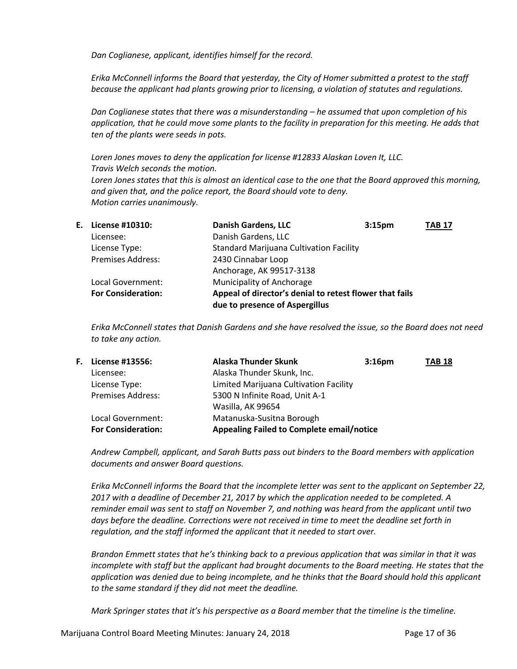*Dan Coglianese, applicant, identifies himself for the record.*

*Erika McConnell informs the Board that yesterday, the City of Homer submitted a protest to the staff because the applicant had plants growing prior to licensing, a violation of statutes and regulations.*

*Dan Coglianese states that there was a misunderstanding – he assumed that upon completion of his application, that he could move some plants to the facility in preparation for this meeting. He adds that ten of the plants were seeds in pots.*

*Loren Jones moves to deny the application for license #12833 Alaskan Loven It, LLC. Travis Welch seconds the motion. Loren Jones states that this is almost an identical case to the one that the Board approved this morning, and given that, and the police report, the Board should vote to deny. Motion carries unanimously.*

| E. License #10310:        | <b>Danish Gardens, LLC</b>                                                                | 3:15 <sub>pm</sub> | <b>TAB 17</b> |
|---------------------------|-------------------------------------------------------------------------------------------|--------------------|---------------|
| Licensee:                 | Danish Gardens, LLC                                                                       |                    |               |
| License Type:             | <b>Standard Marijuana Cultivation Facility</b>                                            |                    |               |
| <b>Premises Address:</b>  | 2430 Cinnabar Loop                                                                        |                    |               |
|                           | Anchorage, AK 99517-3138                                                                  |                    |               |
| Local Government:         | Municipality of Anchorage                                                                 |                    |               |
| <b>For Consideration:</b> | Appeal of director's denial to retest flower that fails<br>due to presence of Aspergillus |                    |               |

*Erika McConnell states that Danish Gardens and she have resolved the issue, so the Board does not need to take any action.*

|                                                                                               | 3:16 <sub>pm</sub>                                                                                                                                                                      | <b>TAB 18</b>                             |
|-----------------------------------------------------------------------------------------------|-----------------------------------------------------------------------------------------------------------------------------------------------------------------------------------------|-------------------------------------------|
|                                                                                               |                                                                                                                                                                                         |                                           |
|                                                                                               |                                                                                                                                                                                         |                                           |
|                                                                                               |                                                                                                                                                                                         |                                           |
|                                                                                               |                                                                                                                                                                                         |                                           |
|                                                                                               |                                                                                                                                                                                         |                                           |
|                                                                                               |                                                                                                                                                                                         |                                           |
| License #13556:<br><b>Premises Address:</b><br>Local Government:<br><b>For Consideration:</b> | <b>Alaska Thunder Skunk</b><br>Alaska Thunder Skunk, Inc.<br>Limited Marijuana Cultivation Facility<br>5300 N Infinite Road, Unit A-1<br>Wasilla, AK 99654<br>Matanuska-Susitna Borough | Appealing Failed to Complete email/notice |

*Andrew Campbell, applicant, and Sarah Butts pass out binders to the Board members with application documents and answer Board questions.*

*Erika McConnell informs the Board that the incomplete letter was sent to the applicant on September 22, 2017 with a deadline of December 21, 2017 by which the application needed to be completed. A reminder email was sent to staff on November 7, and nothing was heard from the applicant until two*  days before the deadline. Corrections were not received in time to meet the deadline set forth in *regulation, and the staff informed the applicant that it needed to start over.*

*Brandon Emmett states that he's thinking back to a previous application that was similar in that it was incomplete with staff but the applicant had brought documents to the Board meeting. He states that the application was denied due to being incomplete, and he thinks that the Board should hold this applicant to the same standard if they did not meet the deadline.*

*Mark Springer states that it's his perspective as a Board member that the timeline is the timeline.*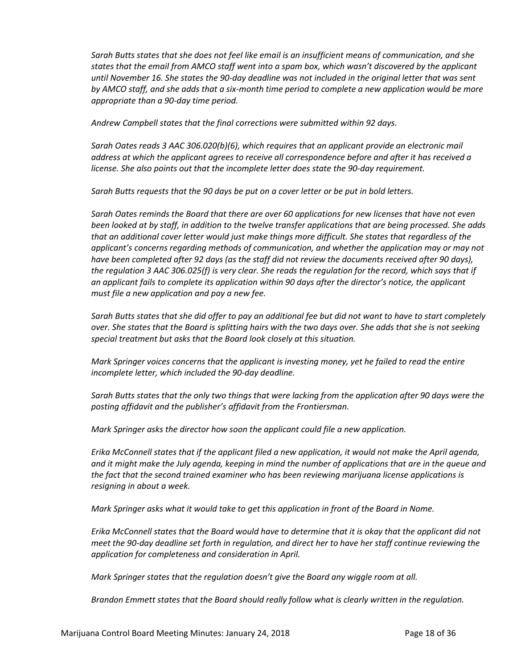*Sarah Butts states that she does not feel like email is an insufficient means of communication, and she states that the email from AMCO staff went into a spam box, which wasn't discovered by the applicant until November 16. She states the 90-day deadline was not included in the original letter that was sent by AMCO staff, and she adds that a six-month time period to complete a new application would be more appropriate than a 90-day time period.* 

*Andrew Campbell states that the final corrections were submitted within 92 days.*

*Sarah Oates reads 3 AAC 306.020(b)(6), which requires that an applicant provide an electronic mail address at which the applicant agrees to receive all correspondence before and after it has received a license. She also points out that the incomplete letter does state the 90-day requirement.*

*Sarah Butts requests that the 90 days be put on a cover letter or be put in bold letters.*

*Sarah Oates reminds the Board that there are over 60 applications for new licenses that have not even been looked at by staff, in addition to the twelve transfer applications that are being processed. She adds that an additional cover letter would just make things more difficult. She states that regardless of the applicant's concerns regarding methods of communication, and whether the application may or may not have been completed after 92 days (as the staff did not review the documents received after 90 days), the regulation 3 AAC 306.025(f) is very clear. She reads the regulation for the record, which says that if an applicant fails to complete its application within 90 days after the director's notice, the applicant must file a new application and pay a new fee.* 

*Sarah Butts states that she did offer to pay an additional fee but did not want to have to start completely over. She states that the Board is splitting hairs with the two days over. She adds that she is not seeking special treatment but asks that the Board look closely at this situation.*

*Mark Springer voices concerns that the applicant is investing money, yet he failed to read the entire incomplete letter, which included the 90-day deadline.*

*Sarah Butts states that the only two things that were lacking from the application after 90 days were the posting affidavit and the publisher's affidavit from the Frontiersman.*

*Mark Springer asks the director how soon the applicant could file a new application.*

*Erika McConnell states that if the applicant filed a new application, it would not make the April agenda, and it might make the July agenda, keeping in mind the number of applications that are in the queue and the fact that the second trained examiner who has been reviewing marijuana license applications is resigning in about a week.*

*Mark Springer asks what it would take to get this application in front of the Board in Nome.*

*Erika McConnell states that the Board would have to determine that it is okay that the applicant did not meet the 90-day deadline set forth in regulation, and direct her to have her staff continue reviewing the application for completeness and consideration in April.*

*Mark Springer states that the regulation doesn't give the Board any wiggle room at all.*

*Brandon Emmett states that the Board should really follow what is clearly written in the regulation.*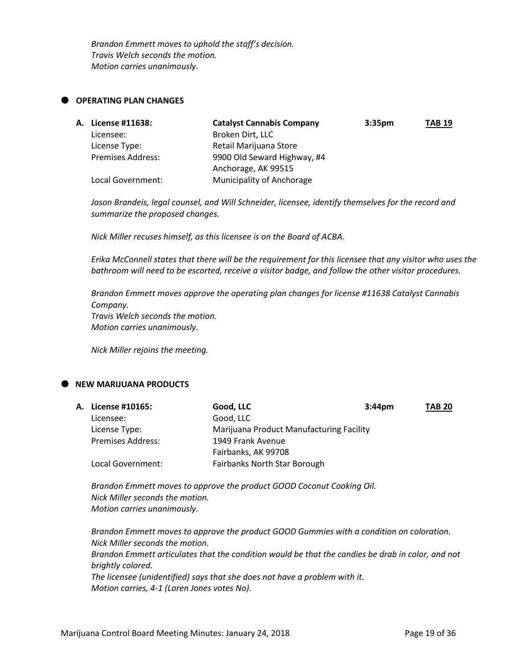*Brandon Emmett moves to uphold the staff's decision. Travis Welch seconds the motion. Motion carries unanimously.*

#### **OPERATING PLAN CHANGES**

| A. License #11638:       | <b>Catalyst Cannabis Company</b> | 3:35 <sub>pm</sub> | <b>TAB 19</b> |
|--------------------------|----------------------------------|--------------------|---------------|
| Licensee:                | Broken Dirt, LLC                 |                    |               |
| License Type:            | Retail Marijuana Store           |                    |               |
| <b>Premises Address:</b> | 9900 Old Seward Highway, #4      |                    |               |
|                          | Anchorage, AK 99515              |                    |               |
| Local Government:        | Municipality of Anchorage        |                    |               |

*Jason Brandeis, legal counsel, and Will Schneider, licensee, identify themselves for the record and summarize the proposed changes.*

*Nick Miller recuses himself, as this licensee is on the Board of ACBA.*

*Erika McConnell states that there will be the requirement for this licensee that any visitor who uses the bathroom will need to be escorted, receive a visitor badge, and follow the other visitor procedures.*

*Brandon Emmett moves approve the operating plan changes for license #11638 Catalyst Cannabis Company. Travis Welch seconds the motion. Motion carries unanimously.*

*Nick Miller rejoins the meeting.*

# **NEW MARIJUANA PRODUCTS**

|                          | Good, LLC                           | 3:44 <sub>pm</sub> | <b>TAB 20</b>                            |
|--------------------------|-------------------------------------|--------------------|------------------------------------------|
| Licensee:                | Good, LLC                           |                    |                                          |
| License Type:            |                                     |                    |                                          |
| <b>Premises Address:</b> | 1949 Frank Avenue                   |                    |                                          |
|                          | Fairbanks, AK 99708                 |                    |                                          |
| Local Government:        | <b>Fairbanks North Star Borough</b> |                    |                                          |
|                          | <b>A. License #10165:</b>           |                    | Marijuana Product Manufacturing Facility |

*Brandon Emmett moves to approve the product GOOD Coconut Cooking Oil. Nick Miller seconds the motion. Motion carries unanimously.*

*Brandon Emmett moves to approve the product GOOD Gummies with a condition on coloration. Nick Miller seconds the motion. Brandon Emmett articulates that the condition would be that the candies be drab in color, and not brightly colored. The licensee (unidentified) says that she does not have a problem with it. Motion carries, 4-1 (Loren Jones votes No).*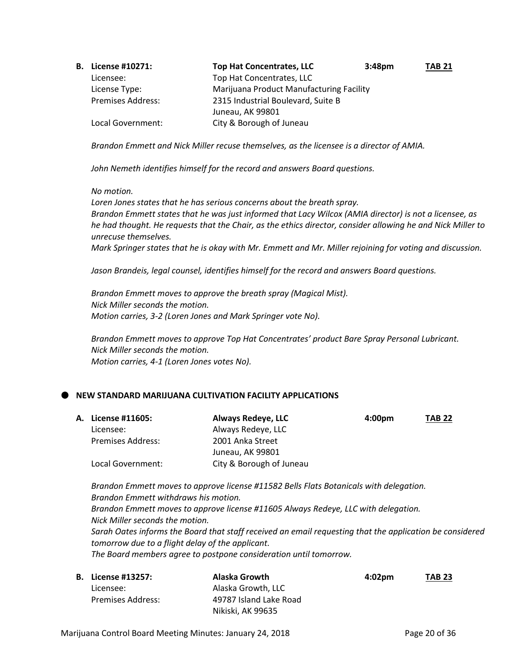| В. | License #10271:          | <b>Top Hat Concentrates, LLC</b>         | 3:48 <sub>pm</sub> | <b>TAB 21</b> |
|----|--------------------------|------------------------------------------|--------------------|---------------|
|    | Licensee:                | Top Hat Concentrates, LLC                |                    |               |
|    | License Type:            | Marijuana Product Manufacturing Facility |                    |               |
|    | <b>Premises Address:</b> | 2315 Industrial Boulevard, Suite B       |                    |               |
|    |                          | Juneau, AK 99801                         |                    |               |
|    | Local Government:        | City & Borough of Juneau                 |                    |               |

*Brandon Emmett and Nick Miller recuse themselves, as the licensee is a director of AMIA.*

*John Nemeth identifies himself for the record and answers Board questions.*

#### *No motion.*

*Loren Jones states that he has serious concerns about the breath spray. Brandon Emmett states that he was just informed that Lacy Wilcox (AMIA director) is not a licensee, as he had thought. He requests that the Chair, as the ethics director, consider allowing he and Nick Miller to unrecuse themselves.*

*Mark Springer states that he is okay with Mr. Emmett and Mr. Miller rejoining for voting and discussion.*

*Jason Brandeis, legal counsel, identifies himself for the record and answers Board questions.*

*Brandon Emmett moves to approve the breath spray (Magical Mist). Nick Miller seconds the motion. Motion carries, 3-2 (Loren Jones and Mark Springer vote No).*

*Brandon Emmett moves to approve Top Hat Concentrates' product Bare Spray Personal Lubricant. Nick Miller seconds the motion. Motion carries, 4-1 (Loren Jones votes No).*

# **NEW STANDARD MARIJUANA CULTIVATION FACILITY APPLICATIONS**

| <b>A. License #11605:</b> | <b>Always Redeye, LLC</b> | 4:00pm | <b>TAB 22</b> |
|---------------------------|---------------------------|--------|---------------|
| Licensee:                 | Always Redeye, LLC        |        |               |
| <b>Premises Address:</b>  | 2001 Anka Street          |        |               |
|                           | Juneau, AK 99801          |        |               |
| Local Government:         | City & Borough of Juneau  |        |               |

*Brandon Emmett moves to approve license #11582 Bells Flats Botanicals with delegation. Brandon Emmett withdraws his motion. Brandon Emmett moves to approve license #11605 Always Redeye, LLC with delegation. Nick Miller seconds the motion. Sarah Oates informs the Board that staff received an email requesting that the application be considered tomorrow due to a flight delay of the applicant. The Board members agree to postpone consideration until tomorrow.*

| <b>B.</b> License #13257: | Alaska Growth          | $4:02$ pm | <b>TAB 23</b> |
|---------------------------|------------------------|-----------|---------------|
| Licensee:                 | Alaska Growth, LLC     |           |               |
| <b>Premises Address:</b>  | 49787 Island Lake Road |           |               |
|                           | Nikiski. AK 99635      |           |               |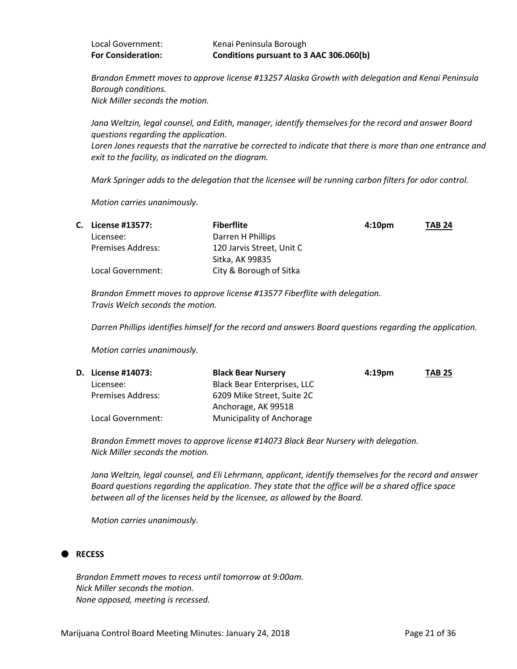| <b>For Consideration:</b> | Conditions pursuant to 3 AAC 306.060(b) |
|---------------------------|-----------------------------------------|
| Local Government:         | Kenai Peninsula Borough                 |

*Brandon Emmett moves to approve license #13257 Alaska Growth with delegation and Kenai Peninsula Borough conditions. Nick Miller seconds the motion.*

*Jana Weltzin, legal counsel, and Edith, manager, identify themselves for the record and answer Board questions regarding the application. Loren Jones requests that the narrative be corrected to indicate that there is more than one entrance and* 

*Mark Springer adds to the delegation that the licensee will be running carbon filters for odor control.*

*Motion carries unanimously.*

*exit to the facility, as indicated on the diagram.*

| С. | License #13577:          | <b>Fiberflite</b>         | 4:10 <sub>pm</sub> | <b>TAB 24</b> |
|----|--------------------------|---------------------------|--------------------|---------------|
|    | Licensee:                | Darren H Phillips         |                    |               |
|    | <b>Premises Address:</b> | 120 Jarvis Street, Unit C |                    |               |
|    |                          | Sitka, AK 99835           |                    |               |
|    | Local Government:        | City & Borough of Sitka   |                    |               |

*Brandon Emmett moves to approve license #13577 Fiberflite with delegation. Travis Welch seconds the motion.*

*Darren Phillips identifies himself for the record and answers Board questions regarding the application.*

*Motion carries unanimously.*

| <b>D.</b> License #14073: | <b>Black Bear Nursery</b>          | 4:19 <sub>pm</sub> | <b>TAB 25</b> |
|---------------------------|------------------------------------|--------------------|---------------|
| Licensee:                 | <b>Black Bear Enterprises, LLC</b> |                    |               |
| <b>Premises Address:</b>  | 6209 Mike Street, Suite 2C         |                    |               |
|                           | Anchorage, AK 99518                |                    |               |
| Local Government:         | <b>Municipality of Anchorage</b>   |                    |               |

*Brandon Emmett moves to approve license #14073 Black Bear Nursery with delegation. Nick Miller seconds the motion.*

*Jana Weltzin, legal counsel, and Eli Lehrmann, applicant, identify themselves for the record and answer Board questions regarding the application. They state that the office will be a shared office space between all of the licenses held by the licensee, as allowed by the Board.*

*Motion carries unanimously.*

# **RECESS**

*Brandon Emmett moves to recess until tomorrow at 9:00am. Nick Miller seconds the motion. None opposed, meeting is recessed.*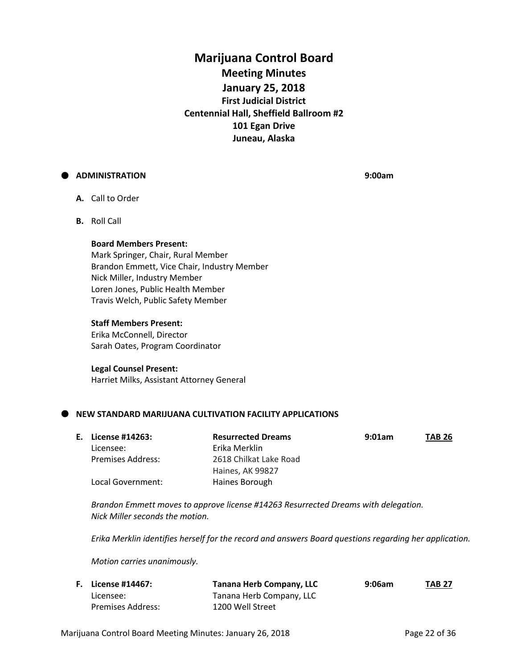# **Marijuana Control Board Meeting Minutes January 25, 2018 First Judicial District Centennial Hall, Sheffield Ballroom #2 101 Egan Drive Juneau, Alaska**

# **ADMINISTRATION 9:00am**

- **A.** Call to Order
- **B.** Roll Call

#### **Board Members Present:**

Mark Springer, Chair, Rural Member Brandon Emmett, Vice Chair, Industry Member Nick Miller, Industry Member Loren Jones, Public Health Member Travis Welch, Public Safety Member

#### **Staff Members Present:**

Erika McConnell, Director Sarah Oates, Program Coordinator

#### **Legal Counsel Present:**

Harriet Milks, Assistant Attorney General

# **NEW STANDARD MARIJUANA CULTIVATION FACILITY APPLICATIONS**

| E. License #14263: | <b>Resurrected Dreams</b> | 9:01am | <b>TAB 26</b> |
|--------------------|---------------------------|--------|---------------|
| Licensee:          | Erika Merklin             |        |               |
| Premises Address:  | 2618 Chilkat Lake Road    |        |               |
|                    | Haines, AK 99827          |        |               |
| Local Government:  | Haines Borough            |        |               |

*Brandon Emmett moves to approve license #14263 Resurrected Dreams with delegation. Nick Miller seconds the motion.*

*Erika Merklin identifies herself for the record and answers Board questions regarding her application.*

*Motion carries unanimously.*

| <b>F.</b> License #14467: | <b>Tanana Herb Company, LLC</b> | 9:06am | <b>TAB 27</b> |
|---------------------------|---------------------------------|--------|---------------|
| Licensee:                 | Tanana Herb Company, LLC        |        |               |
| Premises Address:         | 1200 Well Street                |        |               |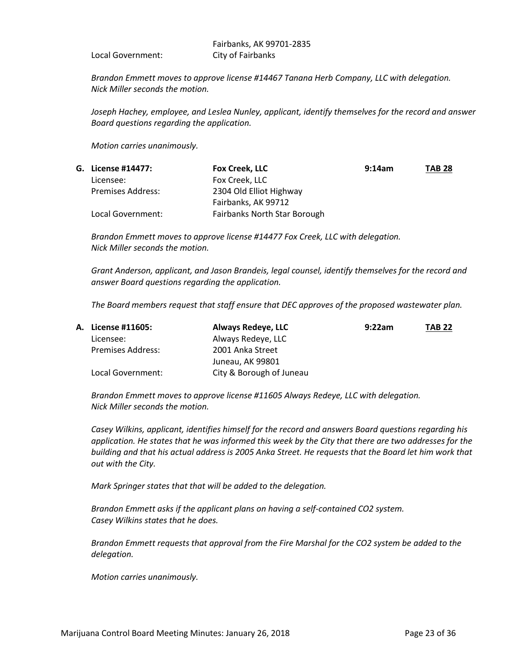Local Government: City of Fairbanks

Fairbanks, AK 99701-2835

*Brandon Emmett moves to approve license #14467 Tanana Herb Company, LLC with delegation. Nick Miller seconds the motion.*

*Joseph Hachey, employee, and Leslea Nunley, applicant, identify themselves for the record and answer Board questions regarding the application.*

*Motion carries unanimously.*

| G. License #14477:       | Fox Creek, LLC                      | 9:14am | <b>TAB 28</b> |
|--------------------------|-------------------------------------|--------|---------------|
| Licensee:                | Fox Creek, LLC                      |        |               |
| <b>Premises Address:</b> | 2304 Old Elliot Highway             |        |               |
|                          | Fairbanks, AK 99712                 |        |               |
| Local Government:        | <b>Fairbanks North Star Borough</b> |        |               |

*Brandon Emmett moves to approve license #14477 Fox Creek, LLC with delegation. Nick Miller seconds the motion.*

*Grant Anderson, applicant, and Jason Brandeis, legal counsel, identify themselves for the record and answer Board questions regarding the application.*

*The Board members request that staff ensure that DEC approves of the proposed wastewater plan.*

| <b>A. License #11605:</b> | Always Redeye, LLC       | 9:22am | <b>TAB 22</b> |
|---------------------------|--------------------------|--------|---------------|
| Licensee:                 | Always Redeye, LLC       |        |               |
| <b>Premises Address:</b>  | 2001 Anka Street         |        |               |
|                           | Juneau, AK 99801         |        |               |
| Local Government:         | City & Borough of Juneau |        |               |

*Brandon Emmett moves to approve license #11605 Always Redeye, LLC with delegation. Nick Miller seconds the motion.*

*Casey Wilkins, applicant, identifies himself for the record and answers Board questions regarding his application. He states that he was informed this week by the City that there are two addresses for the building and that his actual address is 2005 Anka Street. He requests that the Board let him work that out with the City.*

*Mark Springer states that that will be added to the delegation.*

*Brandon Emmett asks if the applicant plans on having a self-contained CO2 system. Casey Wilkins states that he does.*

*Brandon Emmett requests that approval from the Fire Marshal for the CO2 system be added to the delegation.*

*Motion carries unanimously.*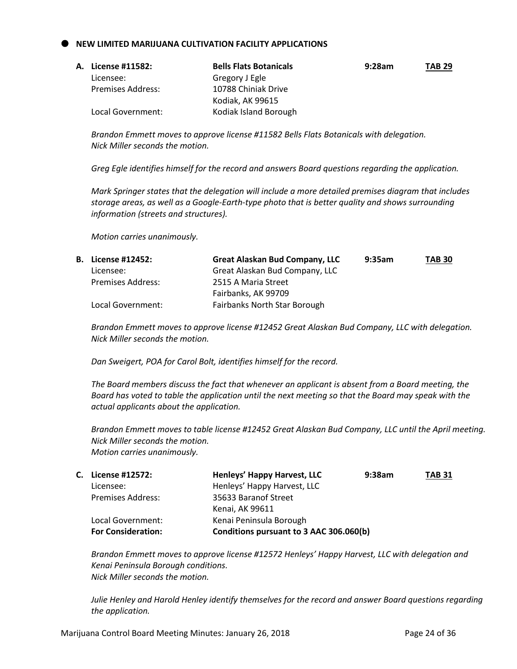#### **NEW LIMITED MARIJUANA CULTIVATION FACILITY APPLICATIONS**

| <b>A. License #11582:</b> | <b>Bells Flats Botanicals</b> | 9:28am | <b>TAB 29</b> |
|---------------------------|-------------------------------|--------|---------------|
| Licensee:                 | Gregory J Egle                |        |               |
| Premises Address:         | 10788 Chiniak Drive           |        |               |
|                           | Kodiak, AK 99615              |        |               |
| Local Government:         | Kodiak Island Borough         |        |               |

*Brandon Emmett moves to approve license #11582 Bells Flats Botanicals with delegation. Nick Miller seconds the motion.*

*Greg Egle identifies himself for the record and answers Board questions regarding the application.*

*Mark Springer states that the delegation will include a more detailed premises diagram that includes storage areas, as well as a Google-Earth-type photo that is better quality and shows surrounding information (streets and structures).*

*Motion carries unanimously.*

| <b>B.</b> License #12452: | Great Alaskan Bud Company, LLC | 9:35am | <b>TAB 30</b> |
|---------------------------|--------------------------------|--------|---------------|
| Licensee:                 | Great Alaskan Bud Company, LLC |        |               |
| <b>Premises Address:</b>  | 2515 A Maria Street            |        |               |
|                           | Fairbanks, AK 99709            |        |               |
| Local Government:         | Fairbanks North Star Borough   |        |               |

*Brandon Emmett moves to approve license #12452 Great Alaskan Bud Company, LLC with delegation. Nick Miller seconds the motion.*

*Dan Sweigert, POA for Carol Bolt, identifies himself for the record.*

*The Board members discuss the fact that whenever an applicant is absent from a Board meeting, the Board has voted to table the application until the next meeting so that the Board may speak with the actual applicants about the application.*

*Brandon Emmett moves to table license #12452 Great Alaskan Bud Company, LLC until the April meeting. Nick Miller seconds the motion. Motion carries unanimously.*

| C. License #12572:        | Henleys' Happy Harvest, LLC             | 9:38am | <b>TAB 31</b> |
|---------------------------|-----------------------------------------|--------|---------------|
| Licensee:                 | Henleys' Happy Harvest, LLC             |        |               |
| <b>Premises Address:</b>  | 35633 Baranof Street                    |        |               |
|                           | Kenai, AK 99611                         |        |               |
| Local Government:         | Kenai Peninsula Borough                 |        |               |
| <b>For Consideration:</b> | Conditions pursuant to 3 AAC 306.060(b) |        |               |

*Brandon Emmett moves to approve license #12572 Henleys' Happy Harvest, LLC with delegation and Kenai Peninsula Borough conditions. Nick Miller seconds the motion.*

*Julie Henley and Harold Henley identify themselves for the record and answer Board questions regarding the application.*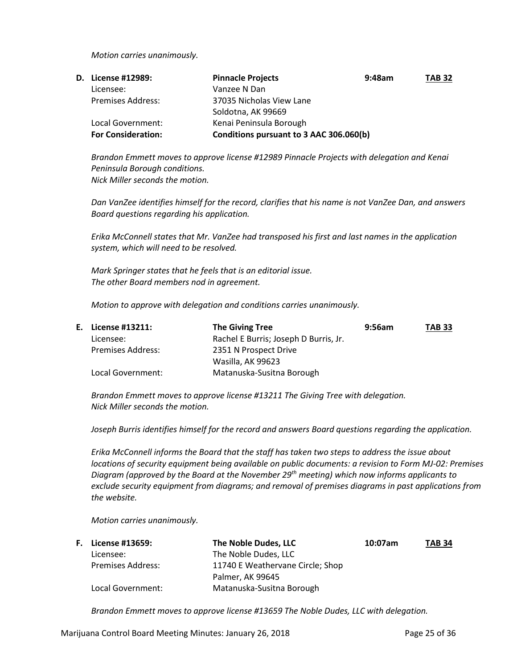*Motion carries unanimously.*

| <b>D.</b> License #12989: | <b>Pinnacle Projects</b><br>$9:48$ am   | <b>TAB 32</b> |
|---------------------------|-----------------------------------------|---------------|
| Licensee:                 | Vanzee N Dan                            |               |
| <b>Premises Address:</b>  | 37035 Nicholas View Lane                |               |
|                           | Soldotna, AK 99669                      |               |
| Local Government:         | Kenai Peninsula Borough                 |               |
| <b>For Consideration:</b> | Conditions pursuant to 3 AAC 306.060(b) |               |

*Brandon Emmett moves to approve license #12989 Pinnacle Projects with delegation and Kenai Peninsula Borough conditions. Nick Miller seconds the motion.*

*Dan VanZee identifies himself for the record, clarifies that his name is not VanZee Dan, and answers Board questions regarding his application.*

*Erika McConnell states that Mr. VanZee had transposed his first and last names in the application system, which will need to be resolved.*

*Mark Springer states that he feels that is an editorial issue. The other Board members nod in agreement.*

*Motion to approve with delegation and conditions carries unanimously.*

| E. License #13211:       | <b>The Giving Tree</b>                | 9:56am | <b>TAB 33</b> |
|--------------------------|---------------------------------------|--------|---------------|
| Licensee:                | Rachel E Burris; Joseph D Burris, Jr. |        |               |
| <b>Premises Address:</b> | 2351 N Prospect Drive                 |        |               |
|                          | Wasilla, AK 99623                     |        |               |
| Local Government:        | Matanuska-Susitna Borough             |        |               |

*Brandon Emmett moves to approve license #13211 The Giving Tree with delegation. Nick Miller seconds the motion.*

*Joseph Burris identifies himself for the record and answers Board questions regarding the application.*

*Erika McConnell informs the Board that the staff has taken two steps to address the issue about locations of security equipment being available on public documents: a revision to Form MJ-02: Premises Diagram (approved by the Board at the November 29th meeting) which now informs applicants to exclude security equipment from diagrams; and removal of premises diagrams in past applications from the website.*

*Motion carries unanimously.*

| F. | License #13659:          | The Noble Dudes, LLC             | 10:07am | <b>TAB 34</b> |
|----|--------------------------|----------------------------------|---------|---------------|
|    | Licensee:                | The Noble Dudes, LLC             |         |               |
|    | <b>Premises Address:</b> | 11740 E Weathervane Circle; Shop |         |               |
|    |                          | Palmer, AK 99645                 |         |               |
|    | Local Government:        | Matanuska-Susitna Borough        |         |               |

*Brandon Emmett moves to approve license #13659 The Noble Dudes, LLC with delegation.*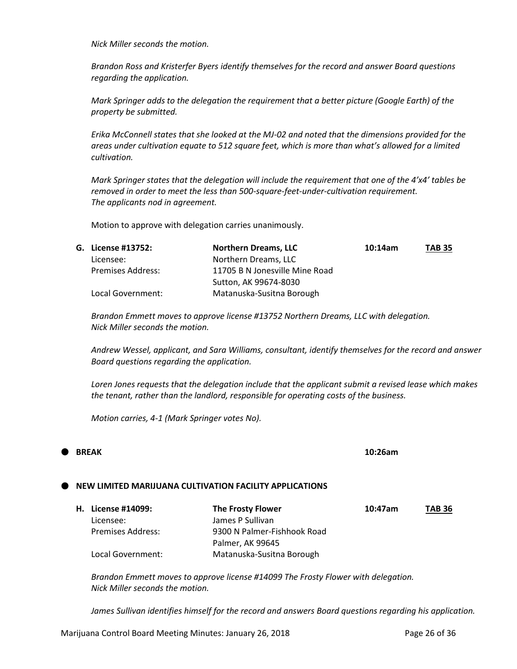*Nick Miller seconds the motion.*

*Brandon Ross and Kristerfer Byers identify themselves for the record and answer Board questions regarding the application.*

*Mark Springer adds to the delegation the requirement that a better picture (Google Earth) of the property be submitted.*

*Erika McConnell states that she looked at the MJ-02 and noted that the dimensions provided for the areas under cultivation equate to 512 square feet, which is more than what's allowed for a limited cultivation.*

*Mark Springer states that the delegation will include the requirement that one of the 4'x4' tables be removed in order to meet the less than 500-square-feet-under-cultivation requirement. The applicants nod in agreement.*

Motion to approve with delegation carries unanimously.

| G. License #13752: | <b>Northern Dreams, LLC</b>    | 10:14am | <b>TAB 35</b> |
|--------------------|--------------------------------|---------|---------------|
| Licensee:          | Northern Dreams, LLC           |         |               |
| Premises Address:  | 11705 B N Jonesville Mine Road |         |               |
|                    | Sutton, AK 99674-8030          |         |               |
| Local Government:  | Matanuska-Susitna Borough      |         |               |

*Brandon Emmett moves to approve license #13752 Northern Dreams, LLC with delegation. Nick Miller seconds the motion.*

*Andrew Wessel, applicant, and Sara Williams, consultant, identify themselves for the record and answer Board questions regarding the application.*

*Loren Jones requests that the delegation include that the applicant submit a revised lease which makes the tenant, rather than the landlord, responsible for operating costs of the business.*

*Motion carries, 4-1 (Mark Springer votes No).*

# **BREAK 10:26am**

#### **NEW LIMITED MARIJUANA CULTIVATION FACILITY APPLICATIONS**

| H. License #14099: | <b>The Frosty Flower</b>    | 10:47am | <b>TAB 36</b> |
|--------------------|-----------------------------|---------|---------------|
| Licensee:          | James P Sullivan            |         |               |
| Premises Address:  | 9300 N Palmer-Fishhook Road |         |               |
|                    | Palmer, AK 99645            |         |               |
| Local Government:  | Matanuska-Susitna Borough   |         |               |

*Brandon Emmett moves to approve license #14099 The Frosty Flower with delegation. Nick Miller seconds the motion.*

*James Sullivan identifies himself for the record and answers Board questions regarding his application.*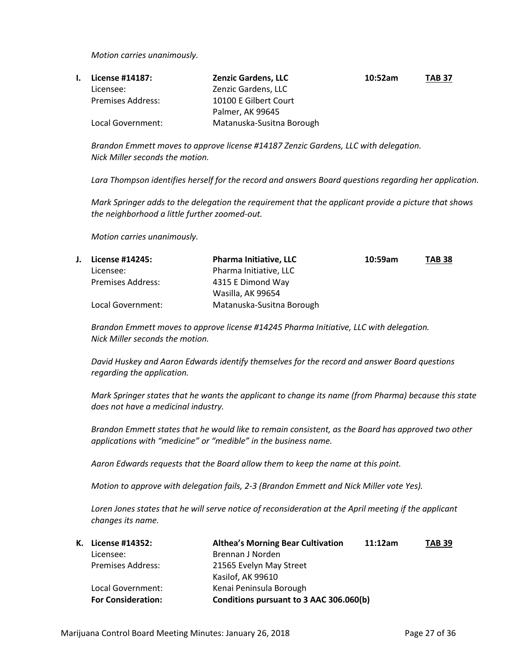*Motion carries unanimously.*

| License #14187:          | <b>Zenzic Gardens, LLC</b> | 10:52am | <b>TAB 37</b> |
|--------------------------|----------------------------|---------|---------------|
| Licensee:                | Zenzic Gardens, LLC        |         |               |
| <b>Premises Address:</b> | 10100 E Gilbert Court      |         |               |
|                          | Palmer, AK 99645           |         |               |
| Local Government:        | Matanuska-Susitna Borough  |         |               |

*Brandon Emmett moves to approve license #14187 Zenzic Gardens, LLC with delegation. Nick Miller seconds the motion.*

*Lara Thompson identifies herself for the record and answers Board questions regarding her application.*

*Mark Springer adds to the delegation the requirement that the applicant provide a picture that shows the neighborhood a little further zoomed-out.*

*Motion carries unanimously.*

| License #14245:          | <b>Pharma Initiative, LLC</b> | 10:59am | <b>TAB 38</b> |
|--------------------------|-------------------------------|---------|---------------|
| Licensee:                | Pharma Initiative, LLC        |         |               |
| <b>Premises Address:</b> | 4315 E Dimond Way             |         |               |
|                          | Wasilla, AK 99654             |         |               |
| Local Government:        | Matanuska-Susitna Borough     |         |               |

*Brandon Emmett moves to approve license #14245 Pharma Initiative, LLC with delegation. Nick Miller seconds the motion.*

*David Huskey and Aaron Edwards identify themselves for the record and answer Board questions regarding the application.*

*Mark Springer states that he wants the applicant to change its name (from Pharma) because this state does not have a medicinal industry.*

*Brandon Emmett states that he would like to remain consistent, as the Board has approved two other applications with "medicine" or "medible" in the business name.*

*Aaron Edwards requests that the Board allow them to keep the name at this point.*

*Motion to approve with delegation fails, 2-3 (Brandon Emmett and Nick Miller vote Yes).*

*Loren Jones states that he will serve notice of reconsideration at the April meeting if the applicant changes its name.*

| К. | License #14352:           | <b>Althea's Morning Bear Cultivation</b> | 11:12am | <b>TAB 39</b> |
|----|---------------------------|------------------------------------------|---------|---------------|
|    | Licensee:                 | Brennan J Norden                         |         |               |
|    | <b>Premises Address:</b>  | 21565 Evelyn May Street                  |         |               |
|    |                           | Kasilof, AK 99610                        |         |               |
|    | Local Government:         | Kenai Peninsula Borough                  |         |               |
|    | <b>For Consideration:</b> | Conditions pursuant to 3 AAC 306.060(b)  |         |               |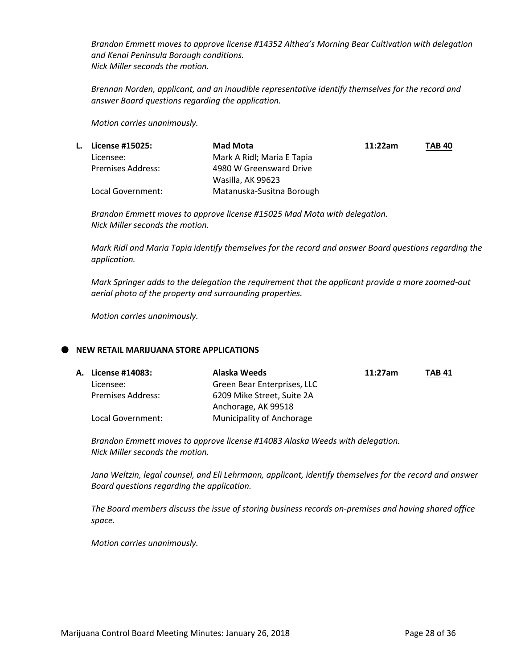*Brandon Emmett moves to approve license #14352 Althea's Morning Bear Cultivation with delegation and Kenai Peninsula Borough conditions. Nick Miller seconds the motion.*

*Brennan Norden, applicant, and an inaudible representative identify themselves for the record and answer Board questions regarding the application.*

*Motion carries unanimously.*

| L. | License #15025:          | Mad Mota                   | 11:22am | <b>TAB 40</b> |
|----|--------------------------|----------------------------|---------|---------------|
|    | Licensee:                | Mark A Ridl; Maria E Tapia |         |               |
|    | <b>Premises Address:</b> | 4980 W Greensward Drive    |         |               |
|    |                          | Wasilla, AK 99623          |         |               |
|    | Local Government:        | Matanuska-Susitna Borough  |         |               |

*Brandon Emmett moves to approve license #15025 Mad Mota with delegation. Nick Miller seconds the motion.*

*Mark Ridl and Maria Tapia identify themselves for the record and answer Board questions regarding the application.*

*Mark Springer adds to the delegation the requirement that the applicant provide a more zoomed-out aerial photo of the property and surrounding properties.*

*Motion carries unanimously.*

# **NEW RETAIL MARIJUANA STORE APPLICATIONS**

| A. License #14083:       | Alaska Weeds                | 11:27am | <b>TAB 41</b> |
|--------------------------|-----------------------------|---------|---------------|
| Licensee:                | Green Bear Enterprises, LLC |         |               |
| <b>Premises Address:</b> | 6209 Mike Street, Suite 2A  |         |               |
|                          | Anchorage, AK 99518         |         |               |
| Local Government:        | Municipality of Anchorage   |         |               |

*Brandon Emmett moves to approve license #14083 Alaska Weeds with delegation. Nick Miller seconds the motion.*

*Jana Weltzin, legal counsel, and Eli Lehrmann, applicant, identify themselves for the record and answer Board questions regarding the application.*

*The Board members discuss the issue of storing business records on-premises and having shared office space.*

*Motion carries unanimously.*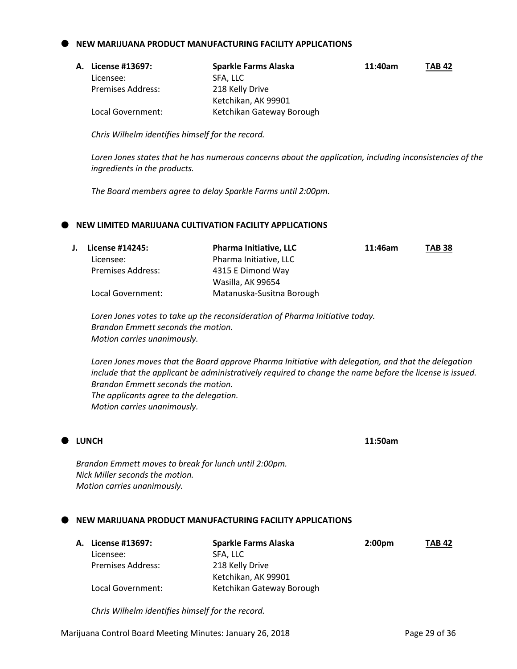#### **NEW MARIJUANA PRODUCT MANUFACTURING FACILITY APPLICATIONS**

| А. | License #13697:          | Sparkle Farms Alaska      | 11:40am | <b>TAB 42</b> |
|----|--------------------------|---------------------------|---------|---------------|
|    | Licensee:                | SFA. LLC                  |         |               |
|    | <b>Premises Address:</b> | 218 Kelly Drive           |         |               |
|    |                          | Ketchikan, AK 99901       |         |               |
|    | Local Government:        | Ketchikan Gateway Borough |         |               |

*Chris Wilhelm identifies himself for the record.*

*Loren Jones states that he has numerous concerns about the application, including inconsistencies of the ingredients in the products.*

*The Board members agree to delay Sparkle Farms until 2:00pm.*

# **NEW LIMITED MARIJUANA CULTIVATION FACILITY APPLICATIONS**

| License #14245:          | <b>Pharma Initiative, LLC</b> | 11:46am | <b>TAB 38</b> |
|--------------------------|-------------------------------|---------|---------------|
| Licensee:                | Pharma Initiative, LLC        |         |               |
| <b>Premises Address:</b> | 4315 E Dimond Way             |         |               |
|                          | Wasilla, AK 99654             |         |               |
| Local Government:        | Matanuska-Susitna Borough     |         |               |

*Loren Jones votes to take up the reconsideration of Pharma Initiative today. Brandon Emmett seconds the motion. Motion carries unanimously.*

*Loren Jones moves that the Board approve Pharma Initiative with delegation, and that the delegation include that the applicant be administratively required to change the name before the license is issued. Brandon Emmett seconds the motion. The applicants agree to the delegation. Motion carries unanimously.*



*Brandon Emmett moves to break for lunch until 2:00pm. Nick Miller seconds the motion. Motion carries unanimously.* 

# **NEW MARIJUANA PRODUCT MANUFACTURING FACILITY APPLICATIONS**

|                          | Sparkle Farms Alaska      | 2:00 <sub>pm</sub> | <b>TAB 42</b> |
|--------------------------|---------------------------|--------------------|---------------|
| Licensee:                | SFA. LLC                  |                    |               |
| <b>Premises Address:</b> | 218 Kelly Drive           |                    |               |
|                          | Ketchikan, AK 99901       |                    |               |
| Local Government:        | Ketchikan Gateway Borough |                    |               |
|                          | A. License #13697:        |                    |               |

*Chris Wilhelm identifies himself for the record.*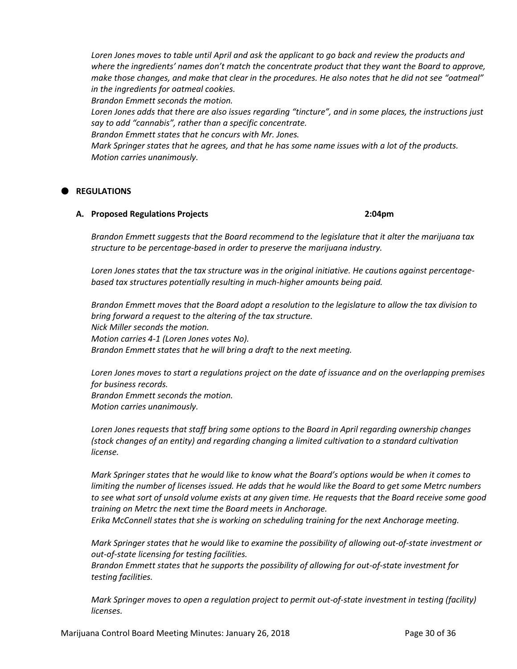Loren Jones moves to table until April and ask the applicant to go back and review the products and *where the ingredients' names don't match the concentrate product that they want the Board to approve, make those changes, and make that clear in the procedures. He also notes that he did not see "oatmeal" in the ingredients for oatmeal cookies.*

*Brandon Emmett seconds the motion.*

*Loren Jones adds that there are also issues regarding "tincture", and in some places, the instructions just say to add "cannabis", rather than a specific concentrate.*

*Brandon Emmett states that he concurs with Mr. Jones.*

*Mark Springer states that he agrees, and that he has some name issues with a lot of the products. Motion carries unanimously.*

# **REGULATIONS**

# **A. Proposed Regulations Projects 2:04pm**

*Brandon Emmett suggests that the Board recommend to the legislature that it alter the marijuana tax structure to be percentage-based in order to preserve the marijuana industry.*

*Loren Jones states that the tax structure was in the original initiative. He cautions against percentagebased tax structures potentially resulting in much-higher amounts being paid.*

*Brandon Emmett moves that the Board adopt a resolution to the legislature to allow the tax division to bring forward a request to the altering of the tax structure. Nick Miller seconds the motion. Motion carries 4-1 (Loren Jones votes No). Brandon Emmett states that he will bring a draft to the next meeting.*

*Loren Jones moves to start a regulations project on the date of issuance and on the overlapping premises for business records. Brandon Emmett seconds the motion. Motion carries unanimously.*

*Loren Jones requests that staff bring some options to the Board in April regarding ownership changes (stock changes of an entity) and regarding changing a limited cultivation to a standard cultivation license.*

*Mark Springer states that he would like to know what the Board's options would be when it comes to limiting the number of licenses issued. He adds that he would like the Board to get some Metrc numbers to see what sort of unsold volume exists at any given time. He requests that the Board receive some good training on Metrc the next time the Board meets in Anchorage.*

*Erika McConnell states that she is working on scheduling training for the next Anchorage meeting.*

*Mark Springer states that he would like to examine the possibility of allowing out-of-state investment or out-of-state licensing for testing facilities.*

*Brandon Emmett states that he supports the possibility of allowing for out-of-state investment for testing facilities.*

*Mark Springer moves to open a regulation project to permit out-of-state investment in testing (facility) licenses.*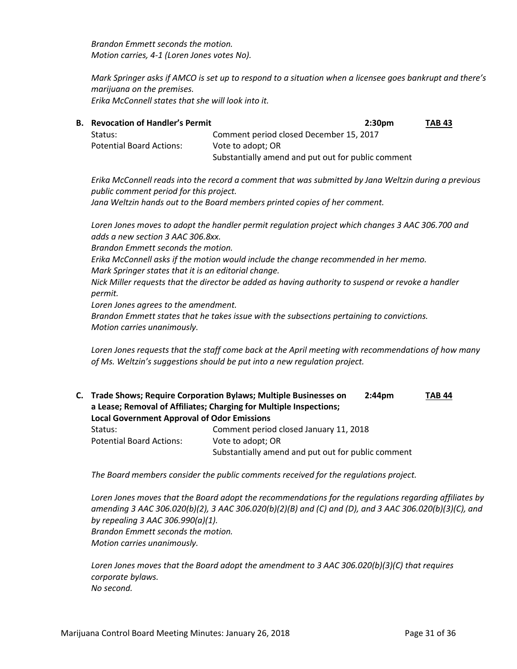*Brandon Emmett seconds the motion. Motion carries, 4-1 (Loren Jones votes No).*

*Mark Springer asks if AMCO is set up to respond to a situation when a licensee goes bankrupt and there's marijuana on the premises. Erika McConnell states that she will look into it.*

| В. | <b>Revocation of Handler's Permit</b> | 2:30 <sub>pm</sub>                                 | <b>TAB 43</b> |
|----|---------------------------------------|----------------------------------------------------|---------------|
|    | Status:                               | Comment period closed December 15, 2017            |               |
|    | <b>Potential Board Actions:</b>       | Vote to adopt; OR                                  |               |
|    |                                       | Substantially amend and put out for public comment |               |

*Erika McConnell reads into the record a comment that was submitted by Jana Weltzin during a previous public comment period for this project. Jana Weltzin hands out to the Board members printed copies of her comment.*

*Loren Jones moves to adopt the handler permit regulation project which changes 3 AAC 306.700 and adds a new section 3 AAC 306.8xx.*

*Brandon Emmett seconds the motion.*

*Erika McConnell asks if the motion would include the change recommended in her memo. Mark Springer states that it is an editorial change.*

*Nick Miller requests that the director be added as having authority to suspend or revoke a handler permit.*

*Loren Jones agrees to the amendment.*

*Brandon Emmett states that he takes issue with the subsections pertaining to convictions. Motion carries unanimously.*

*Loren Jones requests that the staff come back at the April meeting with recommendations of how many of Ms. Weltzin's suggestions should be put into a new regulation project.*

**C. Trade Shows; Require Corporation Bylaws; Multiple Businesses on 2:44pm TAB 44 a Lease; Removal of Affiliates; Charging for Multiple Inspections; Local Government Approval of Odor Emissions** Status:Comment period closed January 11, 2018 Potential Board Actions: Vote to adopt; OR Substantially amend and put out for public comment

*The Board members consider the public comments received for the regulations project.*

*Loren Jones moves that the Board adopt the recommendations for the regulations regarding affiliates by amending 3 AAC 306.020(b)(2), 3 AAC 306.020(b)(2)(B) and (C) and (D), and 3 AAC 306.020(b)(3)(C), and by repealing 3 AAC 306.990(a)(1). Brandon Emmett seconds the motion. Motion carries unanimously.*

*Loren Jones moves that the Board adopt the amendment to 3 AAC 306.020(b)(3)(C) that requires corporate bylaws. No second.*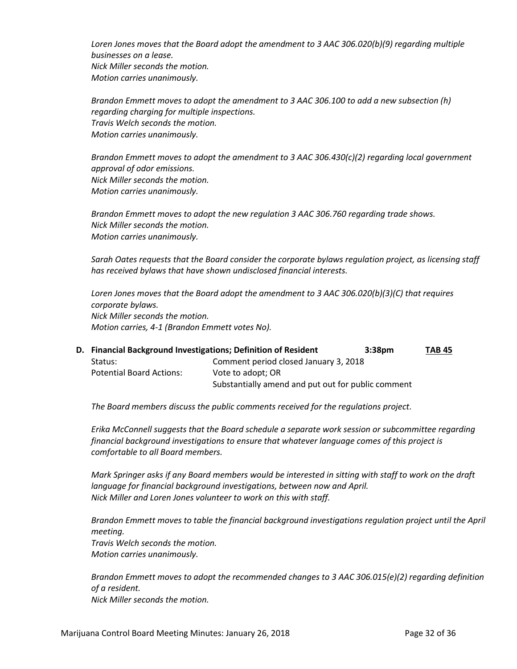*Loren Jones moves that the Board adopt the amendment to 3 AAC 306.020(b)(9) regarding multiple businesses on a lease. Nick Miller seconds the motion. Motion carries unanimously.*

*Brandon Emmett moves to adopt the amendment to 3 AAC 306.100 to add a new subsection (h) regarding charging for multiple inspections. Travis Welch seconds the motion. Motion carries unanimously.*

*Brandon Emmett moves to adopt the amendment to 3 AAC 306.430(c)(2) regarding local government approval of odor emissions. Nick Miller seconds the motion. Motion carries unanimously.*

*Brandon Emmett moves to adopt the new regulation 3 AAC 306.760 regarding trade shows. Nick Miller seconds the motion. Motion carries unanimously.*

*Sarah Oates requests that the Board consider the corporate bylaws regulation project, as licensing staff has received bylaws that have shown undisclosed financial interests.*

*Loren Jones moves that the Board adopt the amendment to 3 AAC 306.020(b)(3)(C) that requires corporate bylaws. Nick Miller seconds the motion. Motion carries, 4-1 (Brandon Emmett votes No).*

|                                 | D. Financial Background Investigations; Definition of Resident<br>3:38 <sub>pm</sub> | TAB 45 |
|---------------------------------|--------------------------------------------------------------------------------------|--------|
| Status:                         | Comment period closed January 3, 2018                                                |        |
| <b>Potential Board Actions:</b> | Vote to adopt; OR                                                                    |        |
|                                 | Substantially amend and put out for public comment                                   |        |

*The Board members discuss the public comments received for the regulations project.*

*Erika McConnell suggests that the Board schedule a separate work session or subcommittee regarding financial background investigations to ensure that whatever language comes of this project is comfortable to all Board members.*

*Mark Springer asks if any Board members would be interested in sitting with staff to work on the draft language for financial background investigations, between now and April. Nick Miller and Loren Jones volunteer to work on this with staff.*

*Brandon Emmett moves to table the financial background investigations regulation project until the April meeting. Travis Welch seconds the motion. Motion carries unanimously.*

*Brandon Emmett moves to adopt the recommended changes to 3 AAC 306.015(e)(2) regarding definition of a resident. Nick Miller seconds the motion.*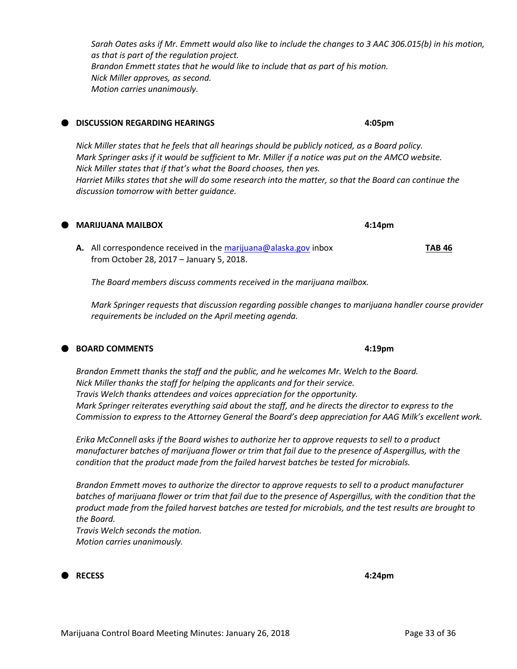*Sarah Oates asks if Mr. Emmett would also like to include the changes to 3 AAC 306.015(b) in his motion, as that is part of the regulation project. Brandon Emmett states that he would like to include that as part of his motion. Nick Miller approves, as second. Motion carries unanimously.*

#### **DISCUSSION REGARDING HEARINGS 4:05pm**

*Nick Miller states that he feels that all hearings should be publicly noticed, as a Board policy. Mark Springer asks if it would be sufficient to Mr. Miller if a notice was put on the AMCO website. Nick Miller states that if that's what the Board chooses, then yes. Harriet Milks states that she will do some research into the matter, so that the Board can continue the discussion tomorrow with better guidance.*

**A.** All correspondence received in th[e marijuana@alaska.gov](mailto:marijuana@alaska.gov) inbox **TAB 46** from October 28, 2017 – January 5, 2018.

*The Board members discuss comments received in the marijuana mailbox.*

*Mark Springer requests that discussion regarding possible changes to marijuana handler course provider requirements be included on the April meeting agenda.*

#### **BOARD COMMENTS 4:19pm**

*Brandon Emmett thanks the staff and the public, and he welcomes Mr. Welch to the Board. Nick Miller thanks the staff for helping the applicants and for their service. Travis Welch thanks attendees and voices appreciation for the opportunity. Mark Springer reiterates everything said about the staff, and he directs the director to express to the Commission to express to the Attorney General the Board's deep appreciation for AAG Milk's excellent work.*

*Erika McConnell asks if the Board wishes to authorize her to approve requests to sell to a product manufacturer batches of marijuana flower or trim that fail due to the presence of Aspergillus, with the condition that the product made from the failed harvest batches be tested for microbials.*

*Brandon Emmett moves to authorize the director to approve requests to sell to a product manufacturer*  batches of marijuana flower or trim that fail due to the presence of Aspergillus, with the condition that the *product made from the failed harvest batches are tested for microbials, and the test results are brought to the Board.*

*Travis Welch seconds the motion. Motion carries unanimously.*

**RECESS 4:24pm**

**MARIJUANA MAILBOX 4:14pm**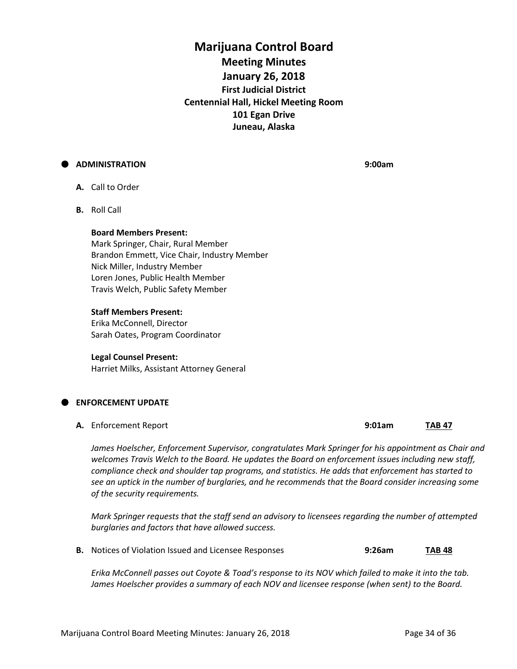# **Marijuana Control Board Meeting Minutes January 26, 2018 First Judicial District Centennial Hall, Hickel Meeting Room 101 Egan Drive Juneau, Alaska**

# **ADMINISTRATION 9:00am**

- **A.** Call to Order
- **B.** Roll Call

#### **Board Members Present:**

Mark Springer, Chair, Rural Member Brandon Emmett, Vice Chair, Industry Member Nick Miller, Industry Member Loren Jones, Public Health Member Travis Welch, Public Safety Member

#### **Staff Members Present:**

Erika McConnell, Director Sarah Oates, Program Coordinator

#### **Legal Counsel Present:**

Harriet Milks, Assistant Attorney General

# **ENFORCEMENT UPDATE**

**A.** Enforcement Report **9:01am TAB 47**

*James Hoelscher, Enforcement Supervisor, congratulates Mark Springer for his appointment as Chair and welcomes Travis Welch to the Board. He updates the Board on enforcement issues including new staff, compliance check and shoulder tap programs, and statistics. He adds that enforcement has started to see an uptick in the number of burglaries, and he recommends that the Board consider increasing some of the security requirements.*

*Mark Springer requests that the staff send an advisory to licensees regarding the number of attempted burglaries and factors that have allowed success.*

**B.** Notices of Violation Issued and Licensee Responses **9:26am TAB 48**

*Erika McConnell passes out Coyote & Toad's response to its NOV which failed to make it into the tab.* James Hoelscher provides a summary of each NOV and licensee response (when sent) to the Board.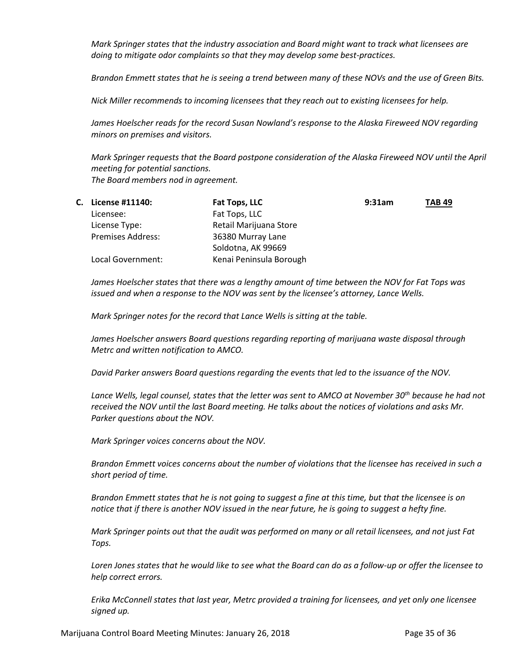*Mark Springer states that the industry association and Board might want to track what licensees are doing to mitigate odor complaints so that they may develop some best-practices.* 

*Brandon Emmett states that he is seeing a trend between many of these NOVs and the use of Green Bits.*

*Nick Miller recommends to incoming licensees that they reach out to existing licensees for help.*

*James Hoelscher reads for the record Susan Nowland's response to the Alaska Fireweed NOV regarding minors on premises and visitors.*

*Mark Springer requests that the Board postpone consideration of the Alaska Fireweed NOV until the April meeting for potential sanctions. The Board members nod in agreement.*

| C. | License #11140:          | Fat Tops, LLC           | 9:31am | <b>TAB 49</b> |
|----|--------------------------|-------------------------|--------|---------------|
|    | Licensee:                | Fat Tops, LLC           |        |               |
|    | License Type:            | Retail Marijuana Store  |        |               |
|    | <b>Premises Address:</b> | 36380 Murray Lane       |        |               |
|    |                          | Soldotna, AK 99669      |        |               |
|    | Local Government:        | Kenai Peninsula Borough |        |               |

*James Hoelscher states that there was a lengthy amount of time between the NOV for Fat Tops was issued and when a response to the NOV was sent by the licensee's attorney, Lance Wells.*

*Mark Springer notes for the record that Lance Wells is sitting at the table.*

*James Hoelscher answers Board questions regarding reporting of marijuana waste disposal through Metrc and written notification to AMCO.*

*David Parker answers Board questions regarding the events that led to the issuance of the NOV.*

*Lance Wells, legal counsel, states that the letter was sent to AMCO at November 30th because he had not received the NOV until the last Board meeting. He talks about the notices of violations and asks Mr. Parker questions about the NOV.*

*Mark Springer voices concerns about the NOV.*

*Brandon Emmett voices concerns about the number of violations that the licensee has received in such a short period of time.*

*Brandon Emmett states that he is not going to suggest a fine at this time, but that the licensee is on notice that if there is another NOV issued in the near future, he is going to suggest a hefty fine.*

*Mark Springer points out that the audit was performed on many or all retail licensees, and not just Fat Tops.*

*Loren Jones states that he would like to see what the Board can do as a follow-up or offer the licensee to help correct errors.*

*Erika McConnell states that last year, Metrc provided a training for licensees, and yet only one licensee signed up.*